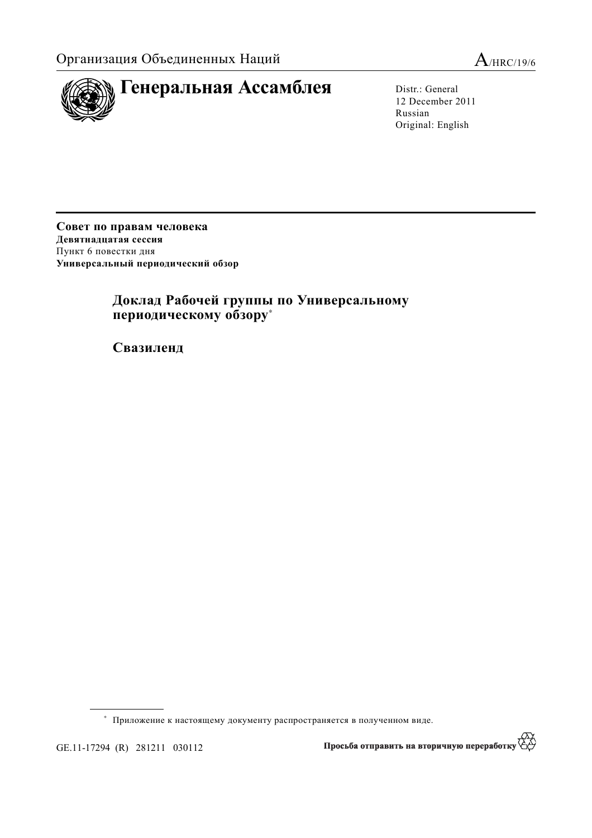



12 December 2011 Russian Original: English

Совет по правам человека Девятнадцатая сессия Пункт 6 повестки дня Универсальный периодический обзор

## Доклад Рабочей группы по Универсальному периодическому обзору\*

 $$ 

<sup>\*</sup> Приложение к настоящему документу распространяется в полученном виде.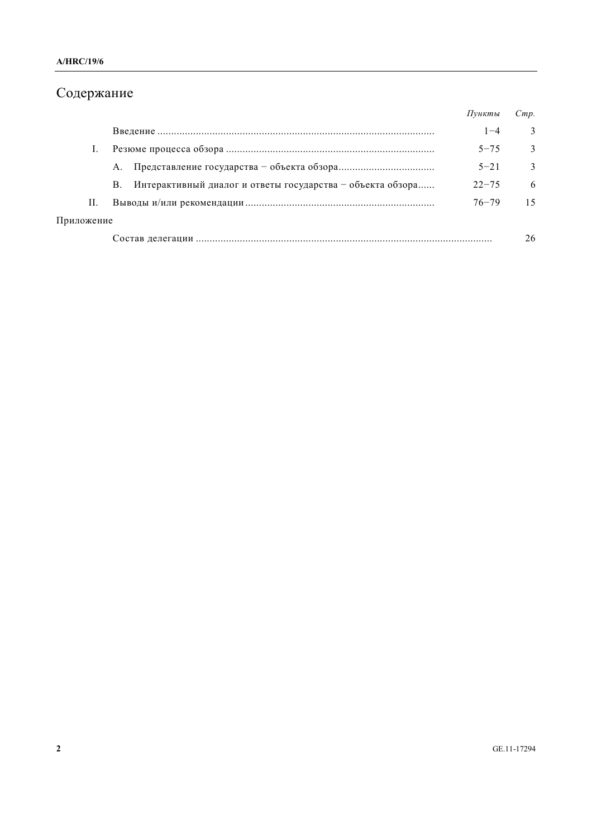# Содержание

|            |                                                                  | Пункты    | Cmp.          |
|------------|------------------------------------------------------------------|-----------|---------------|
|            |                                                                  | $1 - 4$   | 3             |
|            |                                                                  | $5 - 75$  | $\mathcal{E}$ |
|            | A.                                                               | $5 - 21$  | 3             |
|            | Интерактивный диалог и ответы государства – объекта обзора<br>B. | $22 - 75$ | -6            |
| Н.         |                                                                  | $76 - 79$ | 15            |
| Приложение |                                                                  |           |               |
|            |                                                                  |           | 26            |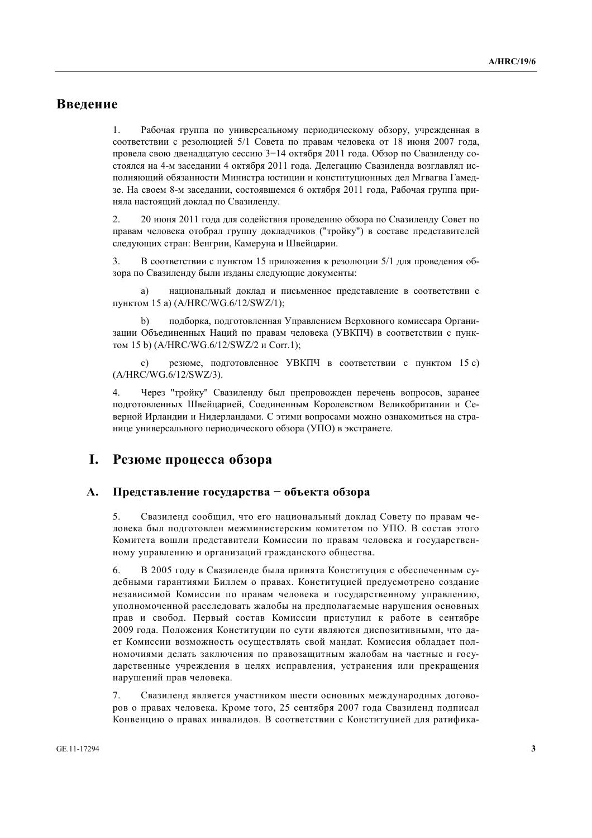## **Введение**

1. Рабочая группа по универсальному периодическому обзору, учрежденная в соответствии с резолюцией 5/1 Совета по правам человека от 18 июня 2007 года, провела свою двенадцатую сессию  $3-14$  октября 2011 года. Обзор по Свазиленду состоялся на 4-м заседании 4 октября 2011 года. Делегацию Свазиленда возглавлял исполняющий обязанности Министра юстиции и конституционных дел Мгвагва Гамедзе. На своем 8-м заседании, состоявшемся 6 октября 2011 года, Рабочая группа приняла настоящий доклад по Свазиленду.

2. 20 июня 2011 года для содействия проведению обзора по Свазиленду Совет по правам человека отобрал группу докладчиков ("тройку") в составе представителей следующих стран: Венгрии, Камеруна и Швейцарии.

3. В соответствии с пунктом 15 приложения к резолюции 5/1 для проведения обзора по Свазиленду были изданы следующие документы:

а) национальный доклад и письменное представление в соответствии с пунктом 15 a) (A/HRC/WG.6/12/SWZ/1);

b) подборка, подготовленная Управлением Верховного комиссара Организации Объединенных Наций по правам человека (УВКПЧ) в соответствии с пунктом 15 b) (A/HRC/WG.6/12/SWZ/2 и Corr.1);

с) резюме, подготовленное УВКПЧ в соответствии с пунктом 15 с) (Ⱥ/HRC/WG.6/12/SWZ/3).

4. Через "тройку" Свазиленду был препровожден перечень вопросов, заранее подготовленных Швейцарией, Соединенным Королевством Великобритании и Северной Ирландии и Нидерландами. С этими вопросами можно ознакомиться на странице универсального периодического обзора (УПО) в экстранете.

## **И.** Резюме процесса обзора

#### А. Представление государства – объекта обзора

5. Свазиленд сообщил, что его национальный доклад Совету по правам человека был подготовлен межминистерским комитетом по УПО. В состав этого Комитета вошли представители Комиссии по правам человека и государственному управлению и организаций гражданского общества.

6. В 2005 году в Свазиленде была принята Конституция с обеспеченным судебными гарантиями Биллем о правах. Конституцией предусмотрено создание независимой Комиссии по правам человека и государственному управлению, уполномоченной расслеловать жалобы на предполагаемые нарушения основных прав и свобод. Первый состав Комиссии приступил к работе в сентябре 2009 года. Положения Конституции по сути являются диспозитивными, что дает Комиссии возможность осуществлять свой мандат. Комиссия обладает полномочиями делать заключения по правозащитным жалобам на частные и государственные учреждения в целях исправления, устранения или прекращения нарушений прав человека.

7. Свазиленл является участником шести основных международных договоров о правах человека. Кроме того, 25 сентября 2007 года Свазиленд подписал Конвенцию о правах инвалидов. В соответствии с Конституцией для ратифика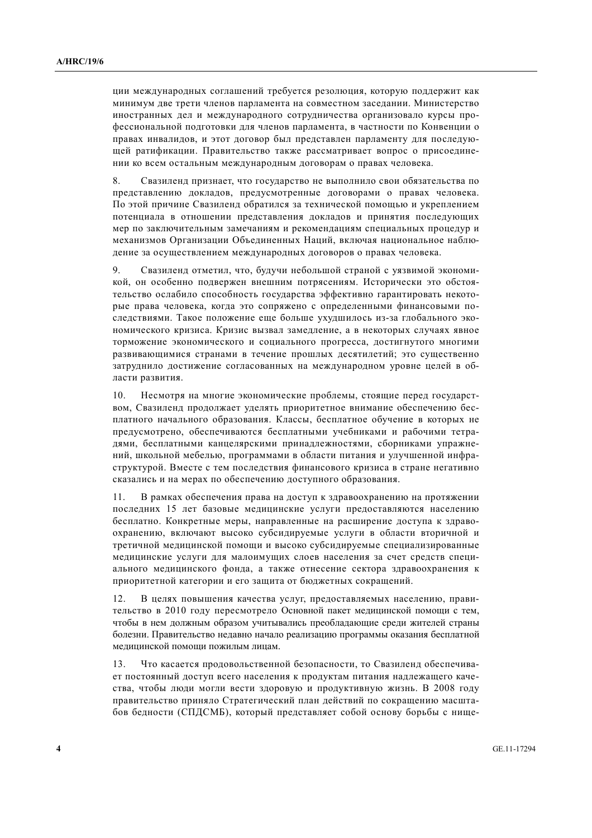ции международных соглашений требуется резолюция, которую поддержит как минимум две трети членов парламента на совместном заседании. Министерство иностранных дел и международного сотрудничества организовало курсы профессиональной подготовки для членов парламента, в частности по Конвенции о правах инвалидов, и этот договор был представлен парламенту для последуюшей ратификации. Правительство также рассматривает вопрос о присоединении ко всем остальным международным договорам о правах человека.

8. Свазиленд признает, что государство не выполнило свои обязательства по представлению докладов, предусмотренные договорами о правах человека. По этой причине Свазиленд обратился за технической помощью и укреплением потенциала в отношении представления докладов и принятия последующих мер по заключительным замечаниям и рекомендациям специальных процедур и механизмов Организации Объединенных Наций, включая национальное наблюдение за осуществлением международных договоров о правах человека.

9. Свазиленд отметил, что, будучи небольшой страной с уязвимой экономикой, он особенно полвержен внешним потрясениям. Исторически это обстоятельство ослабило способность государства эффективно гарантировать некоторые права человека, когда это сопряжено с определенными финансовыми последствиями. Такое положение еще больше ухудшилось из-за глобального экономического кризиса. Кризис вызвал замелление, а в некоторых случаях явное торможение экономического и социального прогресса, достигнутого многими развивающимися странами в течение прошлых десятилетий; это существенно затрулнило лостижение согласованных на межлунаролном уровне целей в области развития.

10. Несмотря на многие экономические проблемы, стоящие перед государством, Свазиленд продолжает уделять приоритетное внимание обеспечению бесплатного начального образования. Классы, бесплатное обучение в которых не предусмотрено, обеспечиваются бесплатными учебниками и рабочими тетрадями, бесплатными канцелярскими принадлежностями, сборниками упражнений, школьной мебелью, программами в области питания и улучшенной инфраструктурой. Вместе с тем последствия финансового кризиса в стране негативно сказались и на мерах по обеспечению доступного образования.

11. В рамках обеспечения права на лоступ к здравоохранению на протяжении последних 15 лет базовые медицинские услуги предоставляются населению бесплатно. Конкретные меры, направленные на расширение доступа к здравоохранению, включают высоко субсидируемые услуги в области вторичной и третичной медицинской помощи и высоко субсидируемые специализированные медицинские услуги для малоимущих слоев населения за счет средств специального медицинского фонда, а также отнесение сектора здравоохранения к приоритетной категории и его защита от бюджетных сокращений.

12. В целях повышения качества услуг, предоставляемых населению, правительство в 2010 году пересмотрело Основной пакет медицинской помощи с тем, чтобы в нем должным образом учитывались преобладающие среди жителей страны болезни. Правительство недавно начало реализацию программы оказания бесплатной медицинской помощи пожилым лицам.

13. Что касается продовольственной безопасности, то Свазиленд обеспечивает постоянный доступ всего населения к продуктам питания надлежащего качества, чтобы люди могли вести здоровую и продуктивную жизнь. В 2008 году правительство приняло Стратегический план действий по сокращению масштабов бедности (СПДСМБ), который представляет собой основу борьбы с нище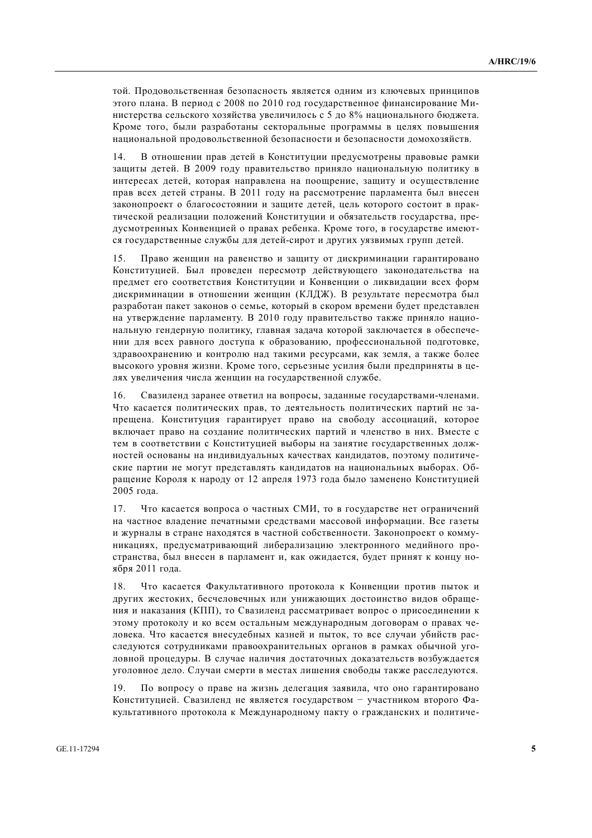той. Продовольственная безопасность является одним из ключевых принципов этого плана. В период с 2008 по 2010 год государственное финансирование Министерства сельского хозяйства увеличилось с 5 до 8% национального бюджета. Кроме того, были разработаны секторальные программы в целях повышения национальной продовольственной безопасности и безопасности домохозяйств.

14. В отношении прав детей в Конституции предусмотрены правовые рамки защиты детей. В 2009 году правительство приняло национальную политику в интересах летей, которая направлена на поошрение, зашиту и осушествление прав всех детей страны. В 2011 году на рассмотрение парламента был внесен законопроект о благосостоянии и зашите летей, цель которого состоит в практической реализации положений Конституции и обязательств государства, предусмотренных Конвенцией о правах ребенка. Кроме того, в государстве имеются государственные службы для детей-сирот и других уязвимых групп детей.

15. Право женщин на равенство и защиту от дискриминации гарантировано Конституцией. Был проведен пересмотр действующего законодательства на прелмет его соответствия Конституции и Конвенции о ликвилации всех форм дискриминации в отношении женщин (КЛДЖ). В результате пересмотра был разработан пакет законов о семье, который в скором времени будет представлен на утверждение парламенту. В 2010 году правительство также приняло национальную гендерную политику, главная задача которой заключается в обеспечении для всех равного доступа к образованию, профессиональной подготовке, здравоохранению и контролю над такими ресурсами, как земля, а также более высокого уровня жизни. Кроме того, серьезные усилия были предприняты в целях увеличения числа женщин на государственной службе.

16. Свазиленд заранее ответил на вопросы, заданные государствами-членами. Что касается политических прав, то деятельность политических партий не запрещена. Конституция гарантирует право на свободу ассоциаций, которое включает право на создание политических партий и членство в них. Вместе с тем в соответствии с Конституцией выборы на занятие государственных должностей основаны на инливилуальных качествах канлилатов, поэтому политические партии не могут представлять кандидатов на национальных выборах. Обращение Короля к народу от 12 апреля 1973 года было заменено Конституцией 2005 года.

17. Что касается вопроса о частных СМИ, то в государстве нет ограничений на частное владение печатными средствами массовой информации. Все газеты и журналы в стране находятся в частной собственности. Законопроект о коммуникациях, предусматривающий либерализацию электронного медийного пространства, был внесен в парламент и, как ожидается, будет принят к концу ноября 2011 года.

18. Что касается Факультативного протокола к Конвенции против пыток и других жестоких, бесчеловечных или унижающих достоинство видов обращения и наказания (КПП), то Свазиленд рассматривает вопрос о присоединении к этому протоколу и ко всем остальным международным договорам о правах человека. Что касается внесудебных казней и пыток, то все случаи убийств расследуются сотрудниками правоохранительных органов в рамках обычной уголовной процедуры. В случае наличия достаточных доказательств возбуждается уголовное дело. Случаи смерти в местах лишения свободы также расследуются.

19. По вопросу о праве на жизнь делегация заявила, что оно гарантировано Конституцией. Свазиленд не является государством - участником второго Факультативного протокола к Международному пакту о гражданских и политиче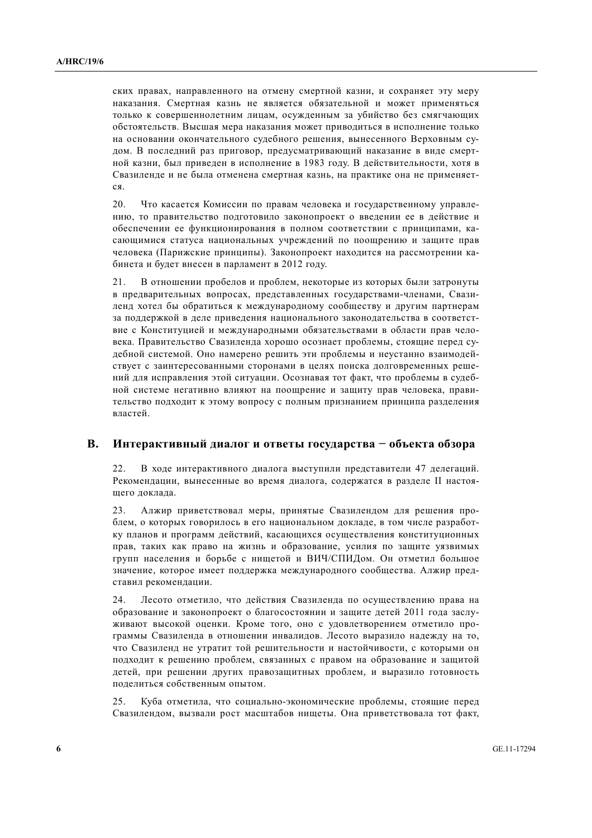ских правах, направленного на отмену смертной казни, и сохраняет эту меру наказания. Смертная казнь не является обязательной и может применяться только к совершеннолетним лицам, осужденным за убийство без смягчающих обстоятельств. Высшая мера наказания может приводиться в исполнение только на основании окончательного судебного решения, вынесенного Верховным судом. В последний раз приговор, предусматривающий наказание в виде смертной казни, был привелен в исполнение в 1983 году. В лействительности, хотя в Свазиленде и не была отменена смертная казнь, на практике она не применяетcя.

20. Что касается Комиссии по правам человека и государственному управлению, то правительство подготовило законопроект о введении ее в действие и обеспечении ее функционирования в полном соответствии с принципами, касающимися статуса национальных учреждений по поощрению и защите прав человека (Парижские принципы). Законопроект находится на рассмотрении кабинета и будет внесен в парламент в 2012 году.

21. В отношении пробелов и проблем, некоторые из которых были затронуты в предварительных вопросах, представленных государствами-членами, Свазиленд хотел бы обратиться к международному сообществу и другим партнерам за поддержкой в деле приведения национального законодательства в соответствие с Конституцией и международными обязательствами в области прав человека. Правительство Свазиленда хорошо осознает проблемы, стоящие перед судебной системой. Оно намерено решить эти проблемы и неустанно взаимодействует с заинтересованными сторонами в целях поиска долговременных решений для исправления этой ситуации. Осознавая тот факт, что проблемы в судебной системе негативно влияют на поощрение и защиту прав человека, правительство подходит к этому вопросу с полным признанием принципа разделения властей.

#### В. Интерактивный диалог и ответы государства – объекта обзора

22. В ходе интерактивного диалога выступили представители 47 делегаций. Рекомендации, вынесенные во время диалога, содержатся в разделе II настояшего локлала.

23. Алжир приветствовал меры, принятые Свазилендом для решения проблем, о которых говорилось в его национальном докладе, в том числе разработку планов и программ действий, касающихся осуществления конституционных прав, таких как право на жизнь и образование, усилия по защите уязвимых групп населения и борьбе с нищетой и ВИЧ/СПИДом. Он отметил большое значение, которое имеет поддержка международного сообщества. Алжир представил рекомендации.

24. Лесото отметило, что действия Свазиленда по осуществлению права на образование и законопроект о благосостоянии и защите детей 2011 года заслуживают высокой оценки. Кроме того, оно с удовлетворением отметило программы Свазиленда в отношении инвалидов. Лесото выразило надежду на то, что Свазиленд не утратит той решительности и настойчивости, с которыми он полхолит к решению проблем, связанных с правом на образование и зашитой детей, при решении других правозащитных проблем, и выразило готовность полелиться собственным опытом.

25. Куба отметила, что социально-экономические проблемы, стоящие перед Свазилендом, вызвали рост масштабов нищеты. Она приветствовала тот факт,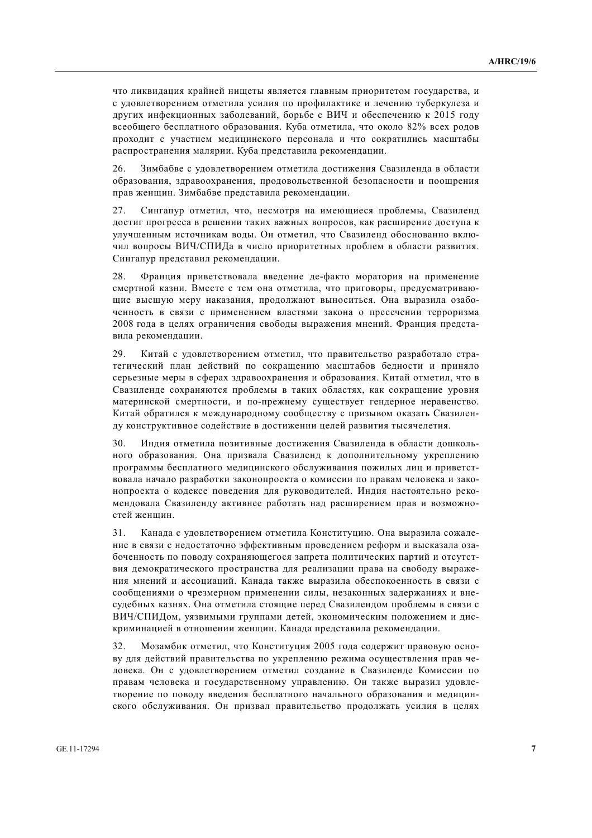что ликвидация крайней нищеты является главным приоритетом государства, и с удовлетворением отметила усилия по профилактике и лечению туберкулеза и других инфекционных заболеваний, борьбе с ВИЧ и обеспечению к 2015 году всеобщего бесплатного образования. Куба отметила, что около 82% всех родов проходит с участием медицинского персонала и что сократились масштабы распространения малярии. Куба представила рекомендации.

26. Зимбабве с удовлетворением отметила достижения Свазиленда в области образования, здравоохранения, продовольственной безопасности и поошрения прав женщин. Зимбабве представила рекомендации.

27. Сингапур отметил, что, несмотря на имеющиеся проблемы, Свазиленд достиг прогресса в решении таких важных вопросов, как расширение доступа к улучшенным источникам воды. Он отметил, что Свазиленд обоснованно включил вопросы ВИЧ/СПИДа в число приоритетных проблем в области развития. Сингапур представил рекомендации.

28. Франция приветствовала введение де-факто моратория на применение смертной казни. Вместе с тем она отметила, что приговоры, предусматривающие высшую меру наказания, продолжают выноситься. Она выразила озабоченность в связи с применением властями закона о пресечении терроризма 2008 гола в целях ограничения своболы выражения мнений. Франция прелставила рекомендации.

29. Китай с удовлетворением отметил, что правительство разработало стратегический план лействий по сокрашению масштабов белности и приняло серьезные меры в сферах здравоохранения и образования. Китай отметил, что в Свазиленде сохраняются проблемы в таких областях, как сокращение уровня материнской смертности, и по-прежнему существует гендерное неравенство. Китай обратился к международному сообществу с призывом оказать Свазиленду конструктивное содействие в достижении целей развития тысячелетия.

30. Индия отметила позитивные достижения Свазиленда в области дошкольного образования. Она призвала Свазиленд к дополнительному укреплению программы бесплатного медицинского обслуживания пожилых лиц и приветствовала начало разработки законопроекта о комиссии по правам человека и законопроекта о кодексе поведения для руководителей. Индия настоятельно рекомендовала Свазиленду активнее работать над расширением прав и возможностей женшин

31. Канада с удовлетворением отметила Конституцию. Она выразила сожаление в связи с недостаточно эффективным проведением реформ и высказала озабоченность по поводу сохраняющегося запрета политических партий и отсутствия демократического пространства для реализации права на свободу выражения мнений и ассоциаций. Канада также выразила обеспокоенность в связи с сообщениями о чрезмерном применении силы, незаконных задержаниях и внесудебных казнях. Она отметила стоящие перед Свазилендом проблемы в связи с ВИЧ/СПИДом, уязвимыми группами детей, экономическим положением и дискриминацией в отношении женщин. Канада представила рекомендации.

32. Мозамбик отметил, что Конституция 2005 года содержит правовую основу для действий правительства по укреплению режима осуществления прав человека. Он с удовлетворением отметил создание в Свазиленде Комиссии по правам человека и государственному управлению. Он также выразил удовлетворение по поводу введения бесплатного начального образования и медицинского обслуживания. Он призвал правительство продолжать усилия в целях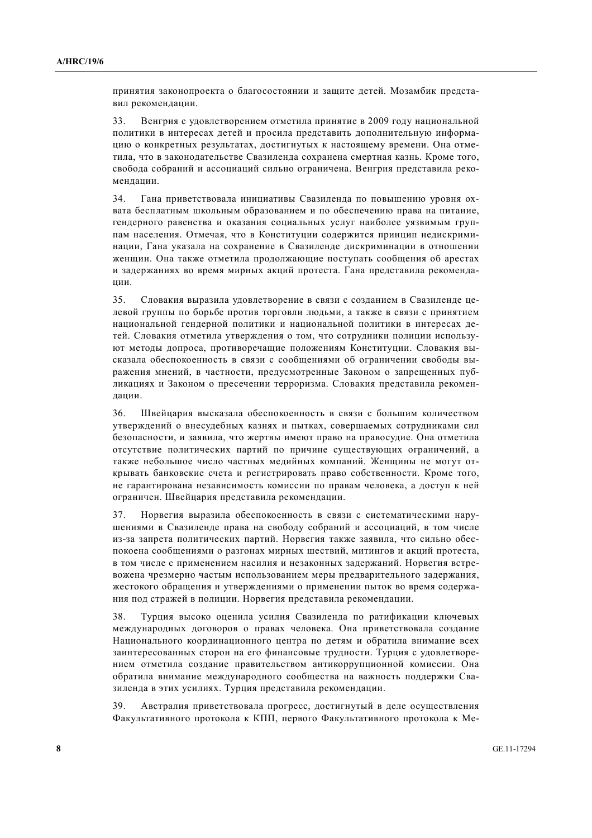принятия законопроекта о благосостоянии и защите детей. Мозамбик представил рекомендации.

33. Венгрия с удовлетворением отметила принятие в 2009 году национальной политики в интересах детей и просила представить дополнительную информацию о конкретных результатах, достигнутых к настоящему времени. Она отметила, что в законодательстве Свазиленда сохранена смертная казнь. Кроме того, свобода собраний и ассоциаций сильно ограничена. Венгрия представила рекоменлации.

34. Гана приветствовала инициативы Свазиленда по повышению уровня охвата бесплатным школьным образованием и по обеспечению права на питание, гендерного равенства и оказания социальных услуг наиболее уязвимым группам населения. Отмечая, что в Конституции содержится принцип недискриминации, Гана указала на сохранение в Свазиленде дискриминации в отношении женщин. Она также отметила продолжающие поступать сообщения об арестах и задержаниях во время мирных акций протеста. Гана представила рекомендации.

35. Словакия выразила удовлетворение в связи с созданием в Свазиленде цедевой группы по борьбе против торговли люльми, а также в связи с принятием национальной гендерной политики и национальной политики в интересах летей. Словакия отметила утвержления о том. что сотрудники полиции используют методы допроса, противоречащие положениям Конституции. Словакия высказала обеспокоенность в связи с сообщениями об ограничении свободы выражения мнений, в частности, предусмотренные Законом о запрешенных публикациях и Законом о пресечении терроризма. Словакия представила рекоменлании.

36. Швейцария высказала обеспокоенность в связи с большим количеством утверждений о внесудебных казнях и пытках, совершаемых сотрудниками сил безопасности, и заявила, что жертвы имеют право на правосудие. Она отметила отсутствие политических партий по причине существующих ограничений, а также небольшое число частных мелийных компаний. Женшины не могут открывать банковские счета и регистрировать право собственности. Кроме того, не гарантирована независимость комиссии по правам человека, а доступ к ней ограничен. Швейцария представила рекомендации.

37. Норвегия выразила обеспокоенность в связи с систематическими нарушениями в Свазиленде права на свободу собраний и ассоциаций, в том числе из-за запрета политических партий. Норвегия также заявила, что сильно обеспокоена сообщениями о разгонах мирных шествий, митингов и акций протеста, в том числе с применением насилия и незаконных задержаний. Норвегия встревожена чрезмерно частым использованием меры предварительного задержания, жестокого обращения и утверждениями о применении пыток во время содержания под стражей в полиции. Норвегия представила рекомендации.

38. Турция высоко оценила усилия Свазиленда по ратификации ключевых международных договоров о правах человека. Она приветствовала создание Национального координационного центра по детям и обратила внимание всех заинтересованных сторон на его финансовые трудности. Турция с удовлетворением отметила создание правительством антикоррупционной комиссии. Она обратила внимание международного сообщества на важность поддержки Свазиленда в этих усилиях. Турция представила рекомендации.

39. Австралия приветствовала прогресс, достигнутый в деле осуществления Факультативного протокола к КПП, первого Факультативного протокола к Ме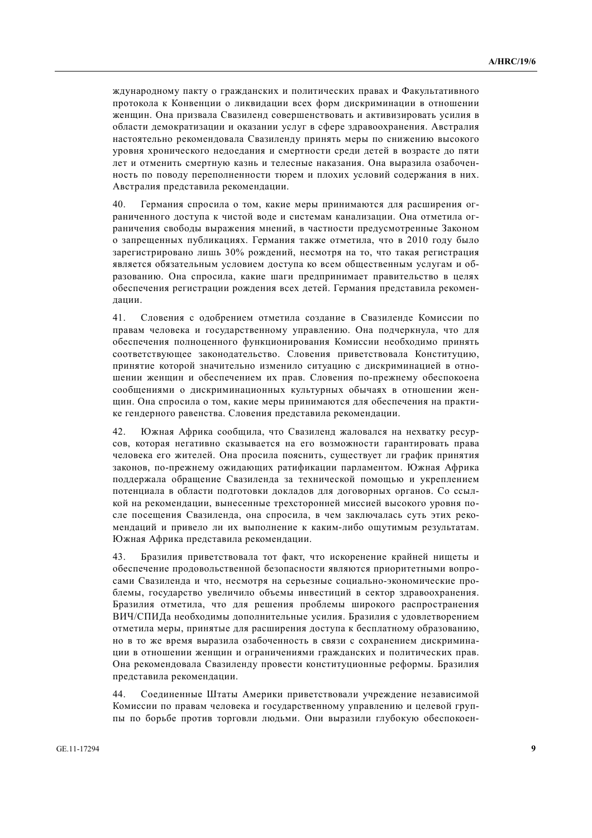ждународному пакту о гражданских и политических правах и Факультативного протокола к Конвенции о ликвидации всех форм дискриминации в отношении женщин. Она призвала Свазиленд совершенствовать и активизировать усилия в области демократизации и оказании услуг в сфере здравоохранения. Австралия настоятельно рекомендовала Свазиленду принять меры по снижению высокого уровня хронического недоедания и смертности среди детей в возрасте до пяти лет и отменить смертную казнь и телесные наказания. Она выразила озабоченность по поводу переполненности тюрем и плохих условий содержания в них. Австралия представила рекомендации.

40. Германия спросила о том, какие меры принимаются для расширения ограниченного доступа к чистой воде и системам канализации. Она отметила ограничения свободы выражения мнений, в частности предусмотренные Законом о запрешенных публикациях. Германия также отметила, что в 2010 году было зарегистрировано лишь 30% рождений, несмотря на то, что такая регистрация является обязательным условием доступа ко всем общественным услугам и образованию. Она спросила, какие шаги предпринимает правительство в целях обеспечения регистрации рождения всех детей. Германия представила рекоменлации.

41. Словения с одобрением отметила создание в Свазиленде Комиссии по правам человека и государственному управлению. Она подчеркнула, что для обеспечения полноценного функционирования Комиссии необходимо принять соответствующее законодательство. Словения приветствовала Конституцию, принятие которой значительно изменило ситуацию с лискриминацией в отношении женщин и обеспечением их прав. Словения по-прежнему обеспокоена сообщениями о дискриминационных культурных обычаях в отношении женщин. Она спросила о том, какие меры принимаются для обеспечения на практике гендерного равенства. Словения представила рекомендации.

42. Южная Африка сообщила, что Свазиленд жаловался на нехватку ресурсов, которая негативно сказывается на его возможности гарантировать права человека его жителей. Она просила пояснить, существует ли график принятия законов, по-прежнему ожидающих ратификации парламентом. Южная Африка поддержала обращение Свазиленда за технической помощью и укреплением потенциала в области подготовки докладов для договорных органов. Со ссылкой на рекомендации, вынесенные трехсторонней миссией высокого уровня после посещения Свазиленда, она спросила, в чем заключалась суть этих рекомендаций и привело ли их выполнение к каким-либо ощутимым результатам. Южная Африка представила рекомендации.

43. Бразилия приветствовала тот факт, что искоренение крайней нищеты и обеспечение продовольственной безопасности являются приоритетными вопросами Свазиленда и что, несмотря на серьезные социально-экономические проблемы, государство увеличило объемы инвестиций в сектор здравоохранения. Бразилия отметила, что для решения проблемы широкого распространения ВИЧ/СПИДа необходимы дополнительные усилия. Бразилия с удовлетворением отметила меры, принятые для расширения доступа к бесплатному образованию, но в то же время выразила озабоченность в связи с сохранением дискриминации в отношении женщин и ограничениями гражданских и политических прав. Она рекомендовала Свазиленду провести конституционные реформы. Бразилия представила рекомендации.

44. Соединенные Штаты Америки приветствовали учреждение независимой Комиссии по правам человека и государственному управлению и целевой группы по борьбе против торговли людьми. Они выразили глубокую обеспокоен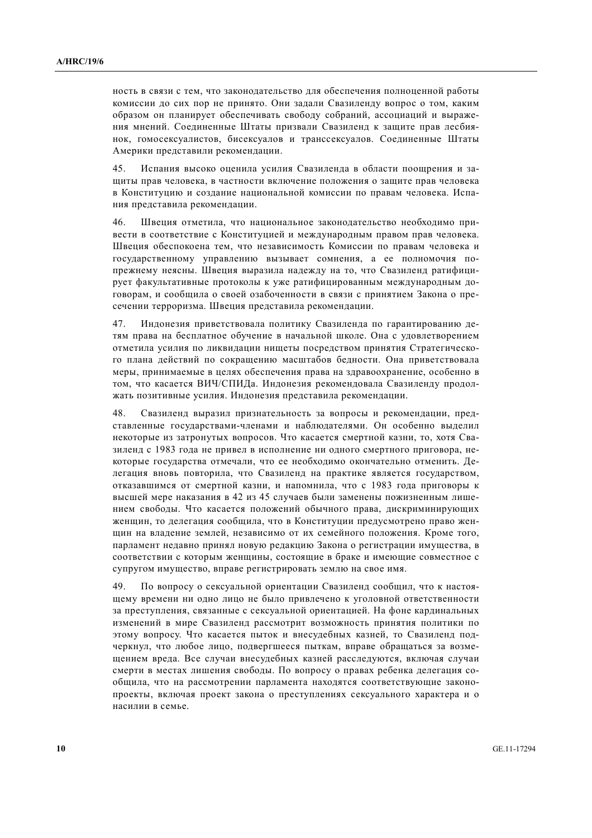ность в связи с тем, что законодательство для обеспечения полноценной работы комиссии до сих пор не принято. Они задали Свазиленду вопрос о том, каким образом он планирует обеспечивать свободу собраний, ассоциаций и выражения мнений. Соединенные Штаты призвали Свазиленд к защите прав лесбиянок, гомосексуалистов, бисексуалов и транссексуалов. Соединенные Штаты Америки представили рекомендации.

45. Испания высоко оценила усилия Свазиленда в области поощрения и зашиты прав человека, в частности включение положения о зашите прав человека в Конституцию и создание национальной комиссии по правам человека. Испания представила рекомендации.

46. Швеция отметила, что национальное законодательство необходимо привести в соответствие с Конституцией и международным правом прав человека. Швеция обеспокоена тем, что независимость Комиссии по правам человека и государственному управлению вызывает сомнения, а ее полномочия попрежнему неясны. Швеция выразила надежду на то, что Свазиленд ратифицирует факультативные протоколы к уже ратифицированным международным договорам, и сообщила о своей озабоченности в связи с принятием Закона о пресечении терроризма. Швеция представила рекомендации.

47. Индонезия приветствовала политику Свазиленда по гарантированию детям права на бесплатное обучение в начальной школе. Она с уловлетворением отметила усилия по ликвидации нищеты посредством принятия Стратегического плана действий по сокращению масштабов бедности. Она приветствовала меры, принимаемые в целях обеспечения права на здравоохранение, особенно в том, что касается ВИЧ/СПИДа. Индонезия рекомендовала Свазиленду продолжать позитивные усилия. Индонезия представила рекомендации.

48. Свазиленд выразил признательность за вопросы и рекомендации, представленные государствами-членами и наблюдателями. Он особенно выделил некоторые из затронутых вопросов. Что касается смертной казни, то, хотя Свазиленд с 1983 года не привел в исполнение ни одного смертного приговора, некоторые государства отмечали, что ее необходимо окончательно отменить. Делегация вновь повторила, что Свазиленд на практике является государством, отказавшимся от смертной казни, и напомнила, что с 1983 года приговоры к высшей мере наказания в 42 из 45 случаев были заменены пожизненным лишением своболы. Что касается положений обычного права, лискриминирующих женщин, то делегация сообщила, что в Конституции предусмотрено право женщин на владение землей, независимо от их семейного положения. Кроме того, парламент недавно принял новую редакцию Закона о регистрации имущества, в соответствии с которым женщины, состоящие в браке и имеющие совместное с супругом имущество, вправе регистрировать землю на свое имя.

49. По вопросу о сексуальной ориентации Свазиленд сообщил, что к настоящему времени ни одно лицо не было привлечено к уголовной ответственности за преступления, связанные с сексуальной ориентацией. На фоне кардинальных изменений в мире Свазиленд рассмотрит возможность принятия политики по этому вопросу. Что касается пыток и внесудебных казней, то Свазиленд подчеркнул, что любое лицо, подвергшееся пыткам, вправе обращаться за возмещением вреда. Все случаи внесудебных казней расследуются, включая случаи смерти в местах лишения свободы. По вопросу о правах ребенка делегация сообщила, что на рассмотрении парламента находятся соответствующие законопроекты, включая проект закона о преступлениях сексуального характера и о насилии в семье.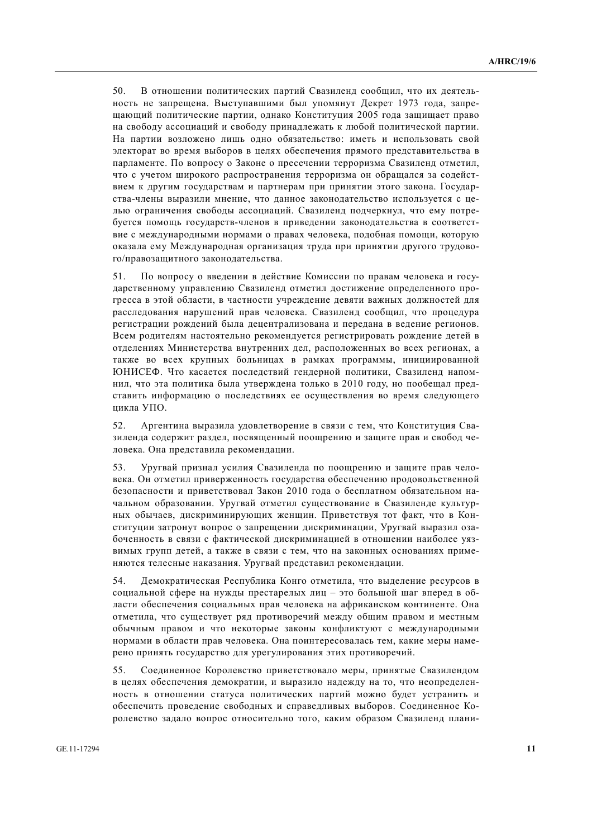50. В отношении политических партий Свазиленд сообщил, что их деятельность не запрещена. Выступавшими был упомянут Декрет 1973 года, запрещающий политические партии, однако Конституция 2005 года защищает право на свободу ассоциаций и свободу принадлежать к любой политической партии. На партии возложено лишь одно обязательство: иметь и использовать свой электорат во время выборов в целях обеспечения прямого представительства в парламенте. По вопросу о Законе о пресечении терроризма Свазиленд отметил, что с учетом широкого распространения терроризма он обращался за содействием к другим государствам и партнерам при принятии этого закона. Государства-члены выразили мнение, что ланное законолательство используется с целью ограничения свободы ассоциаций. Свазиленд подчеркнул, что ему потребуется помощь государств-членов в приведении законодательства в соответствие с международными нормами о правах человека, подобная помощи, которую оказала ему Международная организация труда при принятии другого трудового/правозашитного законодательства.

51. По вопросу о введении в действие Комиссии по правам человека и государственному управлению Свазиленд отметил достижение определенного прогресса в этой области, в частности учреждение девяти важных должностей для расслелования нарушений прав человека. Свазиленд сообщил, что процедура регистрации рождений была децентрализована и передана в ведение регионов. Всем родителям настоятельно рекомендуется регистрировать рождение детей в отделениях Министерства внутренних дел, расположенных во всех регионах, а также во всех крупных больницах в рамках программы, инициированной ЮНИСЕФ. Что касается послелствий гендерной политики. Свазиленд напомнил, что эта политика была утверждена только в 2010 году, но пообещал представить информацию о последствиях ее осуществления во время следующего цикла УПО.

52. Аргентина выразила удовлетворение в связи с тем, что Конституция Свазиленда содержит раздел, посвященный поощрению и защите прав и свобод человека. Она представила рекомендации.

53. Уругвай признал усилия Свазиленда по поощрению и защите прав человека. Он отметил приверженность государства обеспечению продовольственной безопасности и приветствовал Закон 2010 года о бесплатном обязательном начальном образовании. Уругвай отметил существование в Свазиленде культурных обычаев, дискриминирующих женщин. Приветствуя тот факт, что в Конституции затронут вопрос о запрещении дискриминации, Уругвай выразил озабоченность в связи с фактической дискриминацией в отношении наиболее уязвимых групп детей, а также в связи с тем, что на законных основаниях применяются телесные наказания. Уругвай представил рекомендации.

54. Демократическая Республика Конго отметила, что выделение ресурсов в социальной сфере на нужды престарелых лиц - это большой шаг вперед в области обеспечения социальных прав человека на африканском континенте. Она отметила, что существует ряд противоречий между общим правом и местным обычным правом и что некоторые законы конфликтуют с международными нормами в области прав человека. Она поинтересовалась тем, какие меры намерено принять государство для урегулирования этих противоречий.

55. Соединенное Королевство приветствовало меры, принятые Свазилендом в целях обеспечения демократии, и выразило надежду на то, что неопределенность в отношении статуса политических партий можно будет устранить и обеспечить проведение свободных и справедливых выборов. Соединенное Королевство задало вопрос относительно того, каким образом Свазиленд плани-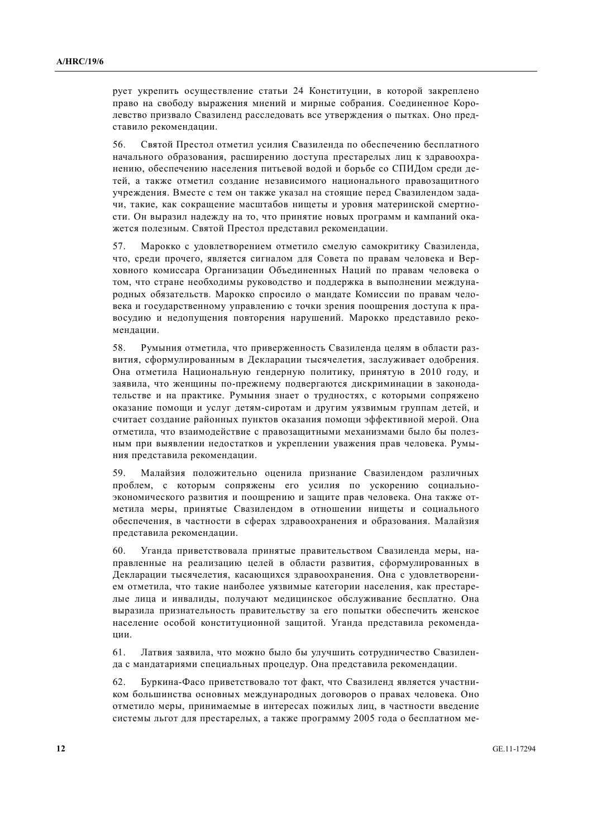рует укрепить осуществление статьи 24 Конституции, в которой закреплено право на свободу выражения мнений и мирные собрания. Соединенное Королевство призвало Свазиленд расследовать все утверждения о пытках. Оно представило рекомендации.

56. Святой Престол отметил усилия Свазиленда по обеспечению бесплатного начального образования, расширению доступа престарелых лиц к здравоохранению, обеспечению населения питьевой водой и борьбе со СПИДом среди детей, а также отметил созлание независимого национального правозашитного учреждения. Вместе с тем он также указал на стоящие перед Свазилендом задачи, такие, как сокращение масштабов нищеты и уровня материнской смертности. Он выразил надежду на то, что принятие новых программ и кампаний окажется полезным. Святой Престол представил рекомендации.

57. Марокко с удовлетворением отметило смелую самокритику Свазиленда, что, среди прочего, является сигналом для Совета по правам человека и Верховного комиссара Организации Объединенных Наций по правам человека о том, что стране необхолимы руковолство и поллержка в выполнении международных обязательств. Марокко спросило о мандате Комиссии по правам человека и государственному управлению с точки зрения поощрения доступа к правосудию и недопущения повторения нарушений. Марокко представило рекоменлации.

58. Румыния отметила, что приверженность Свазиленда целям в области развития, сформулированным в Декларации тысячелетия, заслуживает одобрения. Она отметила Национальную гендерную политику, принятую в 2010 году, и заявила, что женщины по-прежнему подвергаются дискриминации в законодательстве и на практике. Румыния знает о трудностях, с которыми сопряжено оказание помощи и услуг детям-сиротам и другим уязвимым группам детей, и считает создание районных пунктов оказания помощи эффективной мерой. Она отметила, что взаимодействие с правозащитными механизмами было бы полезным при выявлении недостатков и укреплении уважения прав человека. Румыния представила рекомендации.

59. Малайзия положительно оценила признание Свазилендом различных проблем, с которым сопряжены его усилия по ускорению социальноэкономического развития и поошрению и зашите прав человека. Она также отметила меры, принятые Свазилендом в отношении нищеты и социального обеспечения, в частности в сферах здравоохранения и образования. Малайзия представила рекомендации.

60. Уганда приветствовала принятые правительством Свазиленда меры, направленные на реализацию целей в области развития, сформулированных в Декларации тысячелетия, касающихся здравоохранения. Она с удовлетворением отметила, что такие наиболее уязвимые категории населения, как престарелые лица и инвалиды, получают медицинское обслуживание бесплатно. Она выразила признательность правительству за его попытки обеспечить женское население особой конституционной защитой. Уганда представила рекомендации.

61. Латвия заявила, что можно было бы улучшить сотрудничество Свазиленда с мандатариями специальных процедур. Она представила рекомендации.

62. Буркина-Фасо приветствовало тот факт, что Свазиленд является участником большинства основных международных договоров о правах человека. Оно отметило меры, принимаемые в интересах пожилых лиц, в частности введение системы льгот для престарелых, а также программу 2005 года о бесплатном ме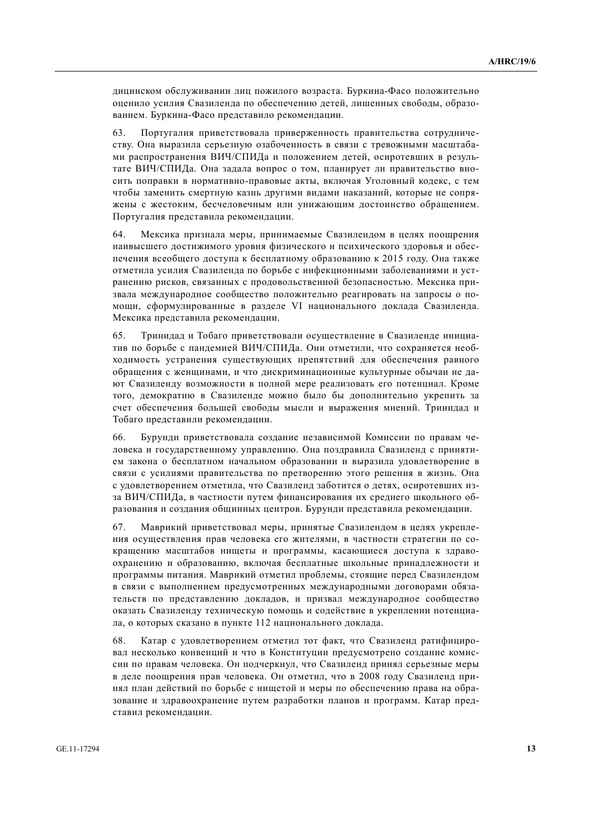дицинском обслуживании лиц пожилого возраста. Буркина-Фасо положительно оценило усилия Свазиленда по обеспечению детей, лишенных свободы, образованием. Буркина-Фасо представило рекомендации.

63. Португалия приветствовала приверженность правительства сотрудничеству. Она выразила серьезную озабоченность в связи с тревожными масштабами распространения ВИЧ/СПИДа и положением детей, осиротевших в результате ВИЧ/СПИДа. Она задала вопрос о том, планирует ли правительство вносить поправки в нормативно-правовые акты, включая Уголовный колекс, с тем чтобы заменить смертную казнь другими видами наказаний, которые не сопряжены с жестоким, бесчеловечным или унижающим достоинство обращением. Португалия представила рекомендации.

64. Мексика признала меры, принимаемые Свазилендом в целях поощрения наивысшего достижимого уровня физического и психического здоровья и обеспечения всеобщего доступа к бесплатному образованию к 2015 году. Она также отметила усилия Свазиленда по борьбе с инфекционными заболеваниями и устранению рисков, связанных с продовольственной безопасностью. Мексика призвала международное сообщество положительно реагировать на запросы о помощи, сформулированные в разделе VI национального доклада Свазиленда. Мексика представила рекомендации.

65. Тринилал и Тобаго приветствовали осушествление в Свазиленле инициатив по борьбе с пандемией ВИЧ/СПИДа. Они отметили, что сохраняется необходимость устранения существующих препятствий для обеспечения равного обращения с женщинами, и что дискриминационные культурные обычаи не дают Свазиленду возможности в полной мере реализовать его потенциал. Кроме того, демократию в Свазиленде можно было бы дополнительно укрепить за счет обеспечения большей свободы мысли и выражения мнений. Тринидад и Тобаго представили рекомендации.

66. Бурунди приветствовала создание независимой Комиссии по правам человека и государственному управлению. Она поздравила Свазиленд с принятием закона о бесплатном начальном образовании и выразила удовлетворение в связи с усилиями правительства по претворению этого решения в жизнь. Она с удовлетворением отметила, что Свазиленд заботится о детях, осиротевших изза ВИЧ/СПИЛа, в частности путем финансирования их среднего школьного образования и создания общинных центров. Бурунди представила рекомендации.

67. Маврикий приветствовал меры, принятые Свазилендом в целях укрепления осуществления прав человека его жителями, в частности стратегии по сокращению масштабов нищеты и программы, касающиеся доступа к здравоохранению и образованию, включая бесплатные школьные принадлежности и программы питания. Маврикий отметил проблемы, стоящие перед Свазилендом в связи с выполнением предусмотренных международными договорами обязательств по представлению докладов, и призвал международное сообщество оказать Свазиленду техническую помощь и содействие в укреплении потенциала, о которых сказано в пункте 112 национального доклада.

68. Катар с удовлетворением отметил тот факт, что Свазиленд ратифицировал несколько конвенций и что в Конституции предусмотрено создание комиссии по правам человека. Он подчеркнул, что Свазиленд принял серьезные меры в деле поощрения прав человека. Он отметил, что в 2008 году Свазиленд принял план действий по борьбе с нищетой и меры по обеспечению права на образование и здравоохранение путем разработки планов и программ. Катар представил рекомендации.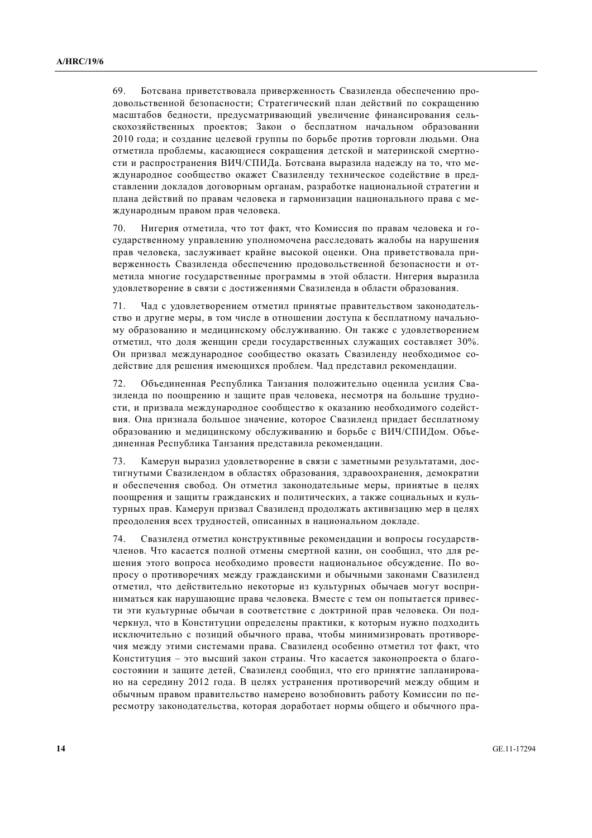69. Ботсвана приветствовала приверженность Свазиленда обеспечению продовольственной безопасности; Стратегический план действий по сокращению масштабов бедности, предусматривающий увеличение финансирования сельскохозяйственных проектов: Закон о бесплатном начальном образовании 2010 года; и создание целевой группы по борьбе против торговли людьми. Она отметила проблемы, касающиеся сокращения летской и материнской смертности и распространения ВИЧ/СПИДа. Ботсвана выразила надежду на то, что международное сообщество окажет Свазиленду техническое содействие в представлении докладов договорным органам, разработке национальной стратегии и плана лействий по правам человека и гармонизации национального права с международным правом прав человека.

70. Нигерия отметила, что тот факт, что Комиссия по правам человека и госуларственному управлению уполномочена расслеловать жалобы на нарушения прав человека, заслуживает крайне высокой оценки. Она приветствовала приверженность Свазиленда обеспечению продовольственной безопасности и отметила многие государственные программы в этой области. Нигерия выразила удовлетворение в связи с достижениями Свазиленда в области образования.

71. Чад с удовлетворением отметил принятые правительством законодательство и другие меры, в том числе в отношении доступа к бесплатному начальному образованию и медицинскому обслуживанию. Он также с удовлетворением отметил, что доля женщин среди государственных служащих составляет 30%. Он призвал международное сообщество оказать Свазиленду необходимое содействие для решения имеющихся проблем. Чал представил рекомендации.

72. Объединенная Республика Танзания положительно оценила усилия Свазиленда по поощрению и защите прав человека, несмотря на большие трудности, и призвала международное сообщество к оказанию необходимого содействия. Она признала большое значение, которое Свазиленд придает бесплатному образованию и мелицинскому обслуживанию и борьбе с ВИЧ/СПИЛом. Объединенная Республика Танзания представила рекомендации.

73. Камерун выразил удовлетворение в связи с заметными результатами. достигнутыми Свазилендом в областях образования, здравоохранения, демократии и обеспечения свобод. Он отметил законодательные меры, принятые в целях поошрения и зашиты гражланских и политических, а также социальных и культурных прав. Камерун призвал Свазиленд продолжать активизацию мер в целях преодоления всех трудностей, описанных в национальном докладе.

74. Свазиленд отметил конструктивные рекомендации и вопросы государствчленов. Что касается полной отмены смертной казни, он сообщил, что для решения этого вопроса необходимо провести национальное обсуждение. По вопросу о противоречиях между гражданскими и обычными законами Свазиленд отметил, что действительно некоторые из культурных обычаев могут восприниматься как нарушающие права человека. Вместе с тем он попытается привести эти культурные обычаи в соответствие с доктриной прав человека. Он подчеркнул, что в Конституции определены практики, к которым нужно подходить исключительно с позиций обычного права, чтобы минимизировать противоречия между этими системами права. Свазиленд особенно отметил тот факт, что Конституция - это высший закон страны. Что касается законопроекта о благосостоянии и защите детей, Свазиленд сообщил, что его принятие запланировано на середину 2012 года. В целях устранения противоречий между общим и обычным правом правительство намерено возобновить работу Комиссии по пересмотру законодательства, которая доработает нормы общего и обычного пра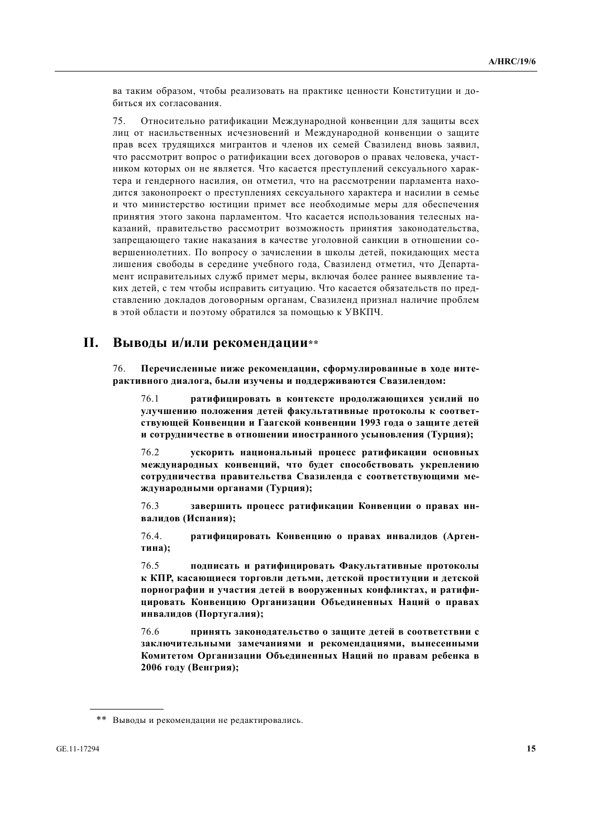ва таким образом, чтобы реализовать на практике ценности Конституции и добиться их согласования.

75. Относительно ратификации Международной конвенции для защиты всех лиц от насильственных исчезновений и Международной конвенции о защите прав всех трудящихся мигрантов и членов их семей Свазиленд вновь заявил, что рассмотрит вопрос о ратификации всех договоров о правах человека, участником которых он не является. Что касается преступлений сексуального характера и гендерного насилия, он отметил, что на рассмотрении парламента находится законопроект о преступлениях сексуального характера и насилии в семье и что министерство юстиции примет все необходимые меры для обеспечения принятия этого закона парламентом. Что касается использования телесных наказаний, правительство рассмотрит возможность принятия законодательства, запрешающего такие наказания в качестве уголовной санкции в отношении совершеннолетних. По вопросу о зачислении в школы детей, покидающих места лишения свободы в середине учебного года, Свазиленд отметил, что Департамент исправительных служб примет меры, включая более раннее выявление таких детей, с тем чтобы исправить ситуацию. Что касается обязательств по представлению докладов договорным органам, Свазиленд признал наличие проблем в этой области и поэтому обратился за помошью к УВКПЧ.

## **II. ȼɵɜɨɞɵ ɢ/ɢɥɢ ɪɟɤɨɦɟɧɞɚɰɢɢ\*\***

76. Перечисленные ниже рекоменлации, сформулированные в холе интерактивного диалога, были изучены и поддерживаются Свазилендом:

76.1 **• • ратифицировать в контексте продолжающихся усилий по** VЛУЧШЕНИЮ ПОЛОЖЕНИЯ ДЕТЕЙ ФАКУЛЬТАТИВНЫЕ ПРОТОКОЛЫ К СООТВЕТствующей Конвенции и Гаагской конвенции 1993 года о защите детей и сотрудничестве в отношении иностранного усыновления (Турция);

76.2 • **ускорить национальный процесс ратификации основных международных конвенций, что будет способствовать укреплению** сотрудничества правительства Свазиленда с соответствующими ме-**ЖДУНАРОДНЫМИ ОРГАНАМИ (ТУРЦИЯ);** 

76.3 **•• ЗАВЕРШИТЬ ПРОЦЕСС РАТИФИКАЦИИ КОНВЕНЦИИ О ПРАВАХ ИНвалидов** (Испания);

76.4. **ратифицировать Конвенцию о правах инвалидов (Арген-**Tина);

76.5 подписать и ратифицировать Факультативные протоколы к КПР, касающиеся торговли детьми, детской проституции и детской порнографии и участия детей в вооруженных конфликтах, и ратифи**ɰɢɪɨɜɚɬɶ Ʉɨɧɜɟɧɰɢɸ Ɉɪɝɚɧɢɡɚɰɢɢ Ɉɛɴɟɞɢɧɟɧɧɵɯ ɇɚɰɢɣ ɨ ɩɪɚɜɚɯ ɢɧɜɚɥɢɞɨɜ (ɉɨɪɬɭɝɚɥɢɹ);** 

76.6 принять законодательство о защите детей в соответствии с заключительными замечаниями и рекомендациями, вынесенными Комитетом Организации Объединенных Наций по правам ребенка в **2006 году** (Венгрия);

<sup>\*\*</sup> Выводы и рекомендации не редактировались.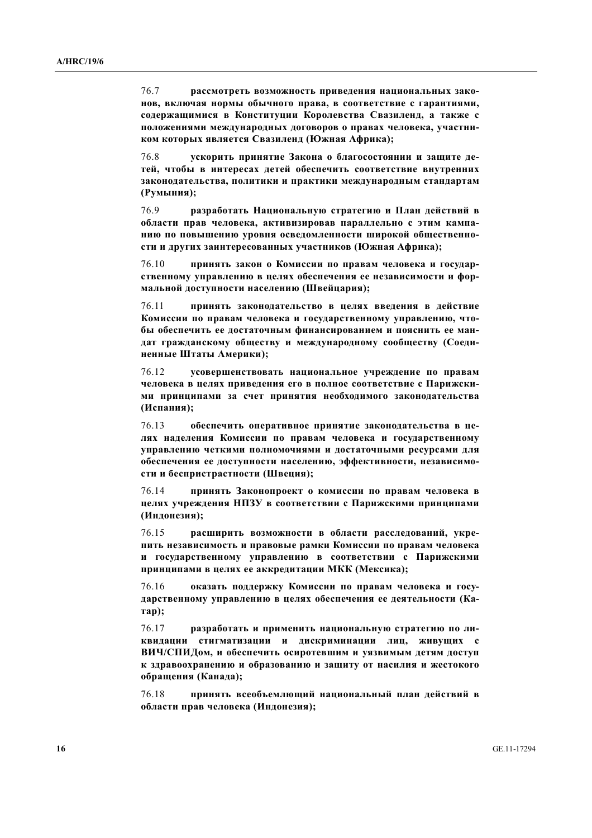76.7 рассмотреть возможность приведения национальных зако-**НОВ, ВКЛЮЧАЯ НОРМЫ ОбЫЧНОГО ПРАВА, В СООТВЕТСТВИЕ С ГАРАНТИЯМИ, содержащимися в Конституции Королевства Свазиленд, а также с** ПОЛОЖЕНИЯМИ МЕЖДУНАРОДНЫХ ДОГОВОРОВ О ПРАВАХ ЧЕЛОВЕКА, УЧАСТНИ**ком которых является Свазиленд (Южная Африка);** 

76.8 **•• УСКОРИТЬ ПРИНЯТИЕ ЗАКОНА О благосостоянии и защите де**тей, чтобы в интересах детей обеспечить соответствие внутренних законодательства, политики и практики международным стандартам (Румыния);

76.9 разработать Национальную стратегию и План действий в **области прав человека, активизировав параллельно с этим кампа-**НИЮ ПО ПОВЫШЕНИЮ УРОВНЯ ОСВЕДОМЛЕННОСТИ ШИРОКОЙ ОбЩЕСТВЕННОсти и других заинтересованных участников (Южная Африка);

76.10 **принять закон о Комиссии по правам человека и государ**ственному управлению в целях обеспечения ее независимости и фор**мальной доступности населению (Швейцария);** 

76.11 **принять законодательство в целях введения в действие** Комиссии по правам человека и государственному управлению, что**ɛɵ ɨɛɟɫɩɟɱɢɬɶ ɟɟ ɞɨɫɬɚɬɨɱɧɵɦ ɮɢɧɚɧɫɢɪɨɜɚɧɢɟɦ ɢ ɩɨɹɫɧɢɬɶ ɟɟ ɦɚɧ**дат гражданскому обществу и международному сообществу (Соеди**ненные Штаты Америки);** 

76.12 **ɭɫɨɜɟɪɲɟɧɫɬɜɨɜɚɬɶ ɧɚɰɢɨɧɚɥɶɧɨɟ ɭɱɪɟɠɞɟɧɢɟ ɩɨ ɩɪɚɜɚɦ** человека в целях приведения его в полное соответствие с Парижскими принципами за счет принятия необходимого законодательства (Испания);

76.13 • обеспечить оперативное принятие законодательства в целях наделения Комиссии по правам человека и государственному VПРАВЛЕНИЮ ЧЕТКИМИ ПОЛНОМОЧИЯМИ И ДОСТАТОЧНЫМИ РЕСУРСАМИ ДЛЯ **• беспечения ее доступности населению, эффективности, независимо**сти и беспристрастности (Швеция);

76.14 **принять Законопроект о комиссии по правам человека в целях учреждения НПЗУ в соответствии с Парижскими принципами**  $($ Индонезия);

76.15 расширить возможности в области расследований, укрепить независимость и правовые рамки Комиссии по правам человека и государственному управлению в соответствии с Парижскими принципами в целях ее аккредитации МКК (Мексика);

76.16 • оказать поддержку Комиссии по правам человека и государственному управлению в целях обеспечения ее деятельности (Ка-**Tap**);

76.17 разработать и применить национальную стратегию по ли**квидации стигматизации и дискриминации лиц, живущих с** ВИЧ/СПИДом, и обеспечить осиротевшим и уязвимым детям доступ **к** здравоохранению и образованию и защиту от насилия и жестокого  $\delta$ бращения (Канада);

76.18 принять всеобъемлющий национальный план действий в  $\delta$ бласти прав человека (Индонезия);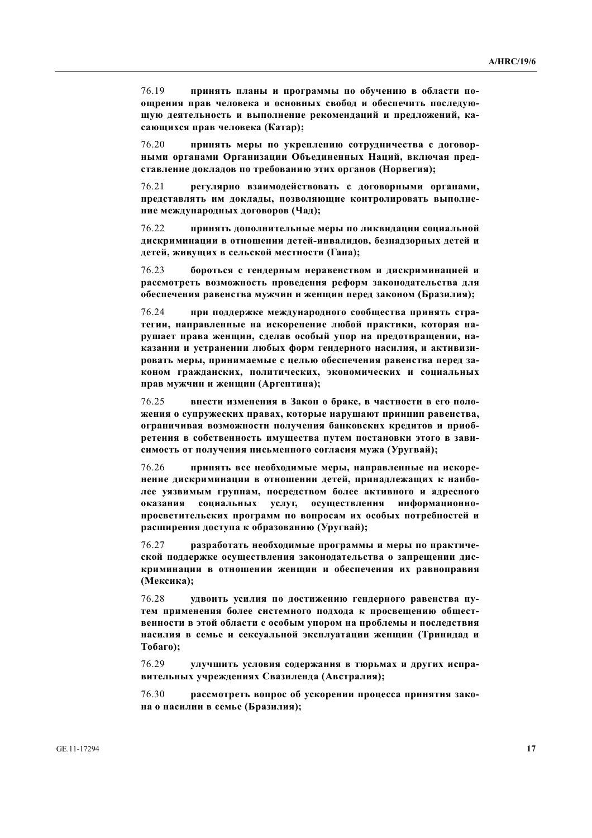76.19 **принять планы и программы по обучению в области поущрения прав человека и основных свобод и обеспечить последуюшую деятельность и выполнение рекомендаций и предложений, ка** $ca$ ющихся прав человека (Катар);

76.20 **принять меры по укреплению сотрудничества с договорными органами Организации Объединенных Наций, включая пред**ставление докладов по требованию этих органов (Норвегия);

 76.21 **ɪɟɝɭɥɹɪɧɨ ɜɡɚɢɦɨɞɟɣɫɬɜɨɜɚɬɶ ɫ ɞɨɝɨɜɨɪɧɵɦɢ ɨɪɝɚɧɚɦɢ,**  представлять им доклады, позволяющие контролировать выполне**ɧɢɟ ɦɟɠɞɭɧɚɪɨɞɧɵɯ ɞɨɝɨɜɨɪɨɜ (ɑɚɞ);**

76.22 принять дополнительные меры по ликвидации социальной дискриминации в отношении детей-инвалидов, безнадзорных детей и детей, живущих в сельской местности (Гана);

76.23 бороться с гендерным неравенством и дискриминацией и **иесмотреть возможность проведения реформ законодательства для ифеспечения равенства мужчин и женщин перед законом (Бразилия);** 

76.24 **при поддержке международного сообщества принять стра-**Тегии, направленные на искоренение любой практики, которая нарушает права женщин, сделав особый упор на предотвращении, наказании и устранении любых форм гендерного насилия, и активизировать меры, принимаемые с целью обеспечения равенства перед за**коном гражданских, политических, экономических и социальных** прав мужчин и женщин (Аргентина);

76.25 внести изменения в Закон о браке, в частности в его поло-ЖЕНИЯ О СУПРУЖЕСКИХ ПРАВАХ, КОТОРЫЕ НАРУШАЮТ ПРИНЦИП РАВЕНСТВА, **ограничивая возможности получения банковских кредитов и приобретения в собственность имущества путем постановки этого в зави**симость от получения письменного согласия мужа (Уругвай);

76.26 принять все необходимые меры, направленные на искоренение дискриминации в отношении детей, принадлежащих к наибодее уязвимым группам, посредством более активного и адресного **ɨɤɚɡɚɧɢɹ ɫɨɰɢɚɥɶɧɵɯ ɭɫɥɭɝ, ɨɫɭɳɟɫɬɜɥɟɧɢɹ ɢɧɮɨɪɦɚɰɢɨɧɧɨ**просветительских программ по вопросам их особых потребностей и расширения доступа к образованию (Уругвай);

76.27 разработать необходимые программы и меры по практической поддержке осуществления законодательства о запрещении дис**криминации в отношении женщин и обеспечения их равноправия** (Мексика);

76.28 **удвоить усилия по достижению гендерного равенства пу**тем применения более системного подхода к просвещению общест**венности в этой области с особым упором на проблемы и последствия насилия в семье и сексуальной эксплуатации женщин (Тринидад и Тобаго);** 

76.29 • УЛУЧШИТЬ УСЛОВИЯ СОДЕРЖАНИЯ В ТЮРЬМАХ И ДРУГИХ ИСПРА**вительных учреждениях Свазиленда (Австралия);** 

76.30 рассмотреть вопрос об ускорении процесса принятия зако**на о насилии в семье (Бразилия);**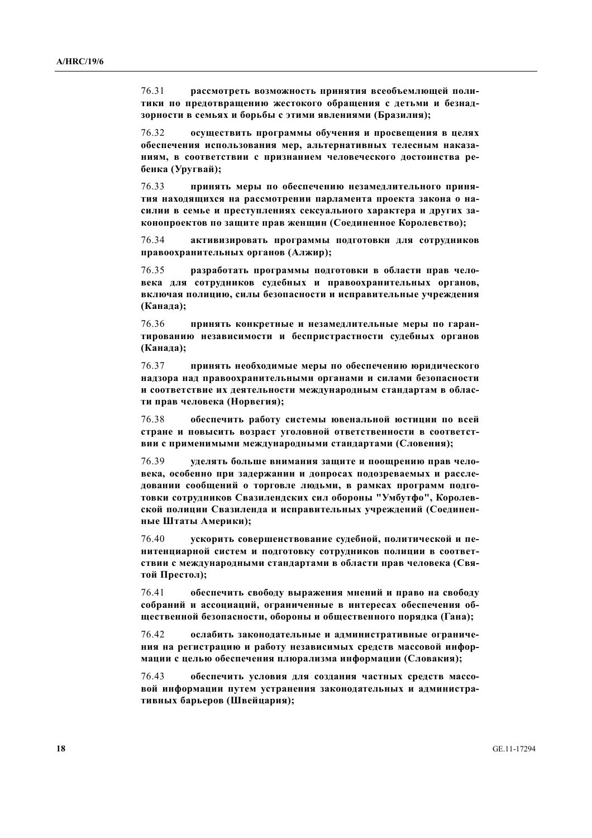76.31 рассмотреть возможность принятия всеобъемлющей политики по предотвращению жестокого обращения с детьми и безнадзорности в семьях и борьбы с этими явлениями (Бразилия);

 76.32 **ɨɫɭɳɟɫɬɜɢɬɶ ɩɪɨɝɪɚɦɦɵ ɨɛɭɱɟɧɢɹ ɢ ɩɪɨɫɜɟɳɟɧɢɹ ɜ ɰɟɥɹɯ ифеспечения использования мер, альтернативных телесным наказа-НИЯМ, В СООТВЕТСТВИИ С ПРИЗНАНИЕМ ЧЕЛОВЕЧЕСКОГО ДОСТОИНСТВА РЕ-** $6$ енка (Уругвай);

76.33 **принять меры по обеспечению незамедлительного приня**тия находящихся на рассмотрении парламента проекта закона о насилии в семье и преступлениях сексуального характера и других законопроектов по защите прав женщин (Соединенное Королевство);

76.34 **• активизировать программы полготовки лля сотрудников** правоохранительных органов (Алжир);

76.35 **вазработать программы подготовки в области прав человека для сотрудников судебных и правоохранительных органов, включая полицию, силы безопасности и исправительные учреждения** (Канада);

76.36 **принять конкретные и незамеллительные меры по гаран**тированию независимости и беспристрастности судебных органов (Канада);

76.37 **принять необходимые меры по обеспечению юридического НАДЗОРА НАД ПРАВООХРАНИТЕЛЬНЫМИ ОРГАНАМИ И СИЛАМИ безопасности** и соответствие их деятельности международным стандартам в области прав человека (Норвегия);

76.38 • обеспечить работу системы ювенальной юстиции по всей стране и повысить возраст уголовной ответственности в соответст**вии с применимыми международными стандартами (Словения);** 

76.39 **•• УДЕЛЯТЬ больше внимания защите и поощрению прав человека**, особенно при задержании и допросах подозреваемых и рассле-ДОВАНИИ СООбЩЕНИЙ О ТОРГОВЛЕ ЛЮДЬМИ, В РАМКАХ ПРОГРАММ ПОДГО- $\textbf{t}$ чэки сотрудников Свазилендских сил обороны "Умбутфо", Королевской полиции Свазиленда и исправительных учреждений (Соединен**ные Штаты Америки**);

76.40 **ускорить совершенствование судебной, политической и пе-НИТЕНЦИАРНОЙ СИСТЕМ И ПОДГОТОВКУ СОТРУДНИКОВ ПОЛИЦИИ В СООТВЕТ**ствии с международными стандартами в области прав человека (Свя- $\textbf{to}\$ **й** Престол);

76.41 ••• обеспечить свободу выражения мнений и право на свободу собраний и ассоциаций, ограниченные в интересах обеспечения об-**Шественной безопасности, обороны и общественного порядка (Гана);** 

76.42 ослабить законодательные и административные ограниче-**НИЯ НА РЕГИСТРАЦИЮ И РАбОТУ НЕЗАВИСИМЫХ СРЕДСТВ МАССОВОЙ ИНФОР**мации с целью обеспечения плюрализма информации (Словакия);

76.43 • обеспечить условия для создания частных средств массо**вой информации путем устранения законодательных и администра**тивных барьеров (Швейцария);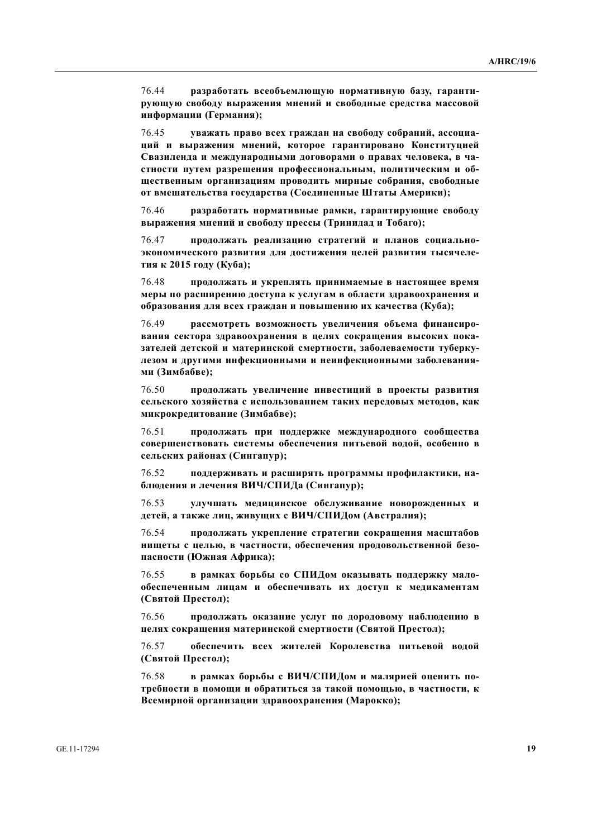76.44 разработать всеобъемлющую нормативную базу, гарантирующую свободу выражения мнений и свободные средства массовой **ɢɧɮɨɪɦɚɰɢɢ (Ƚɟɪɦɚɧɢɹ);**

76.45 **•• УВАЖАТЬ ПРАВО ВСЕХ ГРАЖДАН НА СВОбОДУ СОбраний, ассоциаɰɢɣ ɢ ɜɵɪɚɠɟɧɢɹ ɦɧɟɧɢɣ, ɤɨɬɨɪɨɟ ɝɚɪɚɧɬɢɪɨɜɚɧɨ Ʉɨɧɫɬɢɬɭɰɢɟɣ** Свазиленда и международными договорами о правах человека, в частности путем разрешения профессиональным, политическим и об-**Шественным организациям проводить мирные собрания, свободные от вмешательства государства (Соединенные Штаты Америки);** 

76.46 разработать нормативные рамки, гарантирующие свободу **ɜɵɪɚɠɟɧɢɹ ɦɧɟɧɢɣ ɢ ɫɜɨɛɨɞɭ ɩɪɟɫɫɵ (Ɍɪɢɧɢɞɚɞ ɢ Ɍɨɛɚɝɨ);**

76.47 **продолжать реализацию стратегий и планов социально**экономического развития для достижения целей развития тысячеле-**ТИЯ к** 2015 году (Куба);

76.48 **продолжать и укреплять принимаемые в настоящее время** меры по расширению доступа к услугам в области здравоохранения и  $\delta$ бразования для всех граждан и повышению их качества (Куба);

76.49 **вассмотреть возможность увеличения объема финансирования сектора здравоохранения в целях сокращения высоких пока**зателей детской и материнской смертности, заболеваемости туберкулезом и другими инфекционными и неинфекционными заболевания**ми** (Зимбабве);

76.50 продолжать увеличение инвестиций в проекты развития **ɫɟɥɶɫɤɨɝɨ ɯɨɡɹɣɫɬɜɚ ɫ ɢɫɩɨɥɶɡɨɜɚɧɢɟɦ ɬɚɤɢɯ ɩɟɪɟɞɨɜɵɯ ɦɟɬɨɞɨɜ, ɤɚɤ ɦɢɤɪɨɤɪɟɞɢɬɨɜɚɧɢɟ (Ɂɢɦɛɚɛɜɟ);**

76.51 **продолжать при поддержке международного сообщества ɫɨɜɟɪɲɟɧɫɬɜɨɜɚɬɶ ɫɢɫɬɟɦɵ ɨɛɟɫɩɟɱɟɧɢɹ ɩɢɬɶɟɜɨɣ ɜɨɞɨɣ, ɨɫɨɛɟɧɧɨ ɜ**  $c$ ельских районах (Сингапур);

76.52 поддерживать и расширять программы профилактики, на- $6\pi$ юдения и лечения ВИЧ/СПИДа (Сингапур);

76.53 **WAYERS REGISHERG WEATHLIGGE STEATERS OF BIGGOOGRAPHLIGHT REGISTER** детей, а также лиц, живущих с ВИЧ/СПИДом (Австралия);

76.54 **продолжать укрепление стратегии сокращения масштабов НИЩЕТЫ С ЦЕЛЬЮ, В ЧАСТНОСТИ, Обеспечения продовольственной безо-** $\bf$ пасности (Южная Африка);

76.55 в рамках борьбы со СПИДом оказывать поддержку мало**избеспеченным лицам и обеспечивать их доступ к медикаментам (ɋɜɹɬɨɣ ɉɪɟɫɬɨɥ);**

76.56 продолжать оказание услуг по дородовому наблюдению в **шелях сокращения материнской смертности (Святой Престол);** 

76.57 обеспечить всех жителей Королевства питьевой водой **(Святой Престол);** 

76.58 в рамках борьбы с ВИЧ/СПИДом и малярией оценить потребности в помощи и обратиться за такой помощью, в частности, к Всемирной организации здравоохранения (Марокко);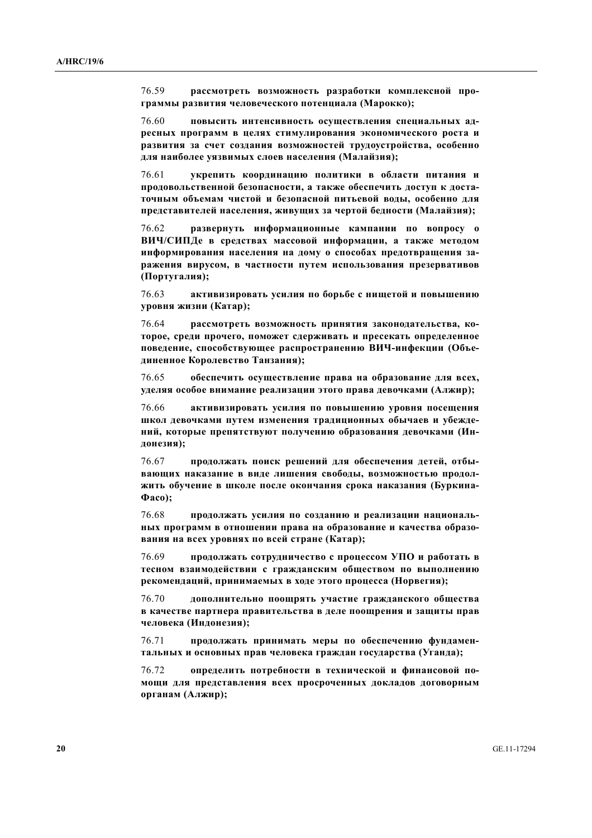76.59 **рассмотреть возможность разработки комплексной про**граммы развития человеческого потенциала (Марокко);

76.60 повысить интенсивность осуществления специальных ад**иесных программ в целях стимулирования экономического роста и** развития за счет создания возможностей трудоустройства, особенно для наиболее уязвимых слоев населения (Малайзия);

76.61 **• УКРЕПИТЬ КООРДИНАЦИЮ ПОЛИТИКИ В Области питания и** продовольственной безопасности, а также обеспечить доступ к доста-ТОЧНЫМ Объемам чистой и безопасной питьевой воды, особенно для представителей населения, живущих за чертой бедности (Малайзия);

76.62 **развернуть информационные кампании по вопросу о** ВИЧ/СИПДе в средствах массовой информации, а также методом информирования населения на дому о способах предотвращения заражения вирусом, в частности путем использования презервативов  $($ Португалия);

76.63 активизировать усилия по борьбе с нищетой и повышению **уровня жизни (Катар);** 

76.64 **вассмотреть возможность принятия законолательства, ко**торое, среди прочего, поможет сдерживать и пресекать определенное поведение, способствующее распространению ВИЧ-инфекции (Объединенное Королевство Танзания);

76.65 обеспечить осуществление права на образование для всех, VДеляя особое внимание реализации этого права девочками (Алжир);

76.66 активизировать усилия по повышению уровня посещения школ девочками путем изменения традиционных обычаев и убежде**ний, которые препятствуют получению образования девочками (Индонезия);** 

76.67 **продолжать поиск решений для обеспечения детей, отбывающих наказание в виде лишения свободы, возможностью продол-**ЖИТЬ ОбУЧЕНИЕ В ШКОЛЕ ПОСЛЕ ОКОНЧАНИЯ СРОКА НАКАЗАНИЯ (БУРКИНА- $\Phi$ **aco**):

76.68 продолжать усилия по созданию и реализации национальных программ в отношении права на образование и качества образо**вания на всех уровнях по всей стране (Катар);** 

76.69 продолжать сотрудничество с процессом УПО и работать в тесном взаимодействии с гражданским обществом по выполнению **рекомендаций, принимаемых в ходе этого процесса (Норвегия);** 

76.70 дополнительно поощрять участие гражданского общества **в качестве партнера правительства в деле поощрения и защиты прав** человека (Индонезия);

76.71 продолжать принимать меры по обеспечению фундамен-Тальных и основных прав человека граждан государства (Уганда);

76.72 определить потребности в технической и финансовой по**мощи для представления всех просроченных докладов договорным органам** (Алжир);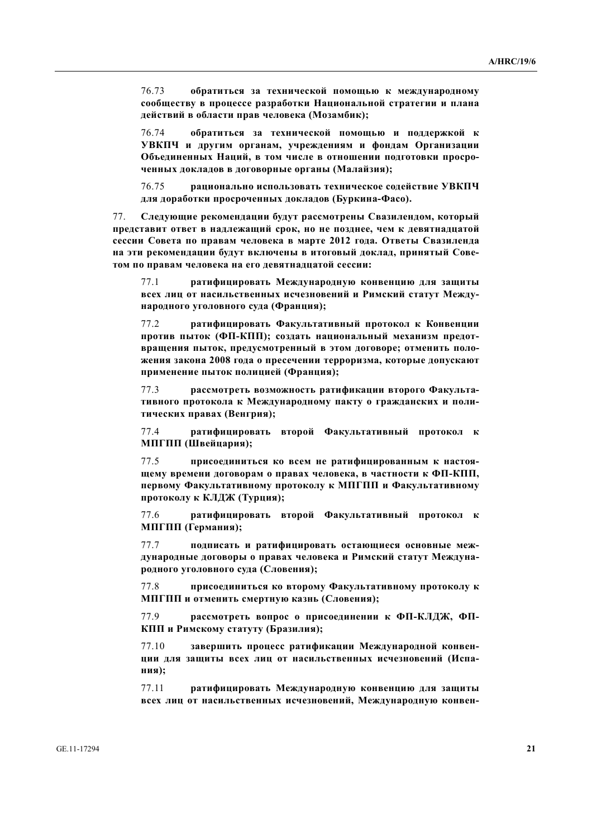76.73 обратиться за технической помощью к международному сообществу в процессе разработки Национальной стратегии и плана действий в области прав человека (Мозамбик);

76.74 **•• обратиться за технической помощью и поддержкой к** УВКПЧ и другим органам, учреждениям и фондам Организации Объединенных Наций, в том числе в отношении подготовки просро**ченных докладов в договорные органы (Малайзия);** 

76.75 рационально использовать техническое содействие УВКПЧ для доработки просроченных докладов (Буркина-Фасо).

77. Следующие рекомендации будут рассмотрены Свазилендом, который Представит ответ в надлежащий срок, но не позднее, чем к девятнадцатой сессии Совета по правам человека в марте 2012 года. Ответы Свазиленда **НА** ЭТИ РЕКОМЕНДАЦИИ будут ВКЛЮЧЕНЫ В ИТОГОВЫЙ ДОКЛАД, ПРИНЯТЫЙ СОВЕтом по правам человека на его девятнадцатой сессии:

77.1 **ватифицировать Международную конвенцию для защиты всех лиц от насильственных исчезновений и Римский статут Международного уголовного суда (Франция);** 

77.2 **и ратифицировать Факультативный протокол к Конвенции** против пыток (ФП-КПП); создать национальный механизм предот**вращения пыток, предусмотренный в этом договоре; отменить поло-Жения закона 2008 года о пресечении терроризма, которые допускают** применение пыток полицией (Франция);

77.3 рассмотреть возможность ратификации второго Факульта-**ТИВНОГО ПРОТОКОЛА К МЕЖДУНАРОДНОМУ ПАКТУ О ГРАЖДАНСКИХ И ПОЛИ**тических правах (Венгрия);

77.4 **ватифицировать второй Факультативный протокол к ɆɉȽɉɉ (ɒɜɟɣɰɚɪɢɹ);** 

77.5 присоединиться ко всем не ратифицированным к настоя**шему времени договорам о правах человека, в частности к ФП-КПП,** Первому Факультативному протоколу к МПГПП и Факультативному **протоколу к КЛДЖ (Турция);** 

77.6 ратифицировать второй Факультативный протокол к **ɆɉȽɉɉ (Ƚɟɪɦɚɧɢɹ);** 

77.7 подписать и ратифицировать остающиеся основные международные договоры о правах человека и Римский статут Междуна**родного уголовного суда (Словения);** 

77.8 присоединиться ко второму Факультативному протоколу к МПГПП и отменить смертную казнь (Словения);

77.9 рассмотреть вопрос о присоединении к ФП-КЛДЖ, ФП-КПП и Римскому статуту (Бразилия);

77.10 завершить процесс ратификации Международной конвен-**ЩИИ ДЛЯ ЗАЩИТЫ ВСЕХ ЛИЦ ОТ НАСИЛЬСТВЕННЫХ ИСЧЕЗНОВЕНИЙ (ИСПАния**);

77.11 ратифицировать Международную конвенцию для защиты **всех лиц от насильственных исчезновений, Международную конвен-**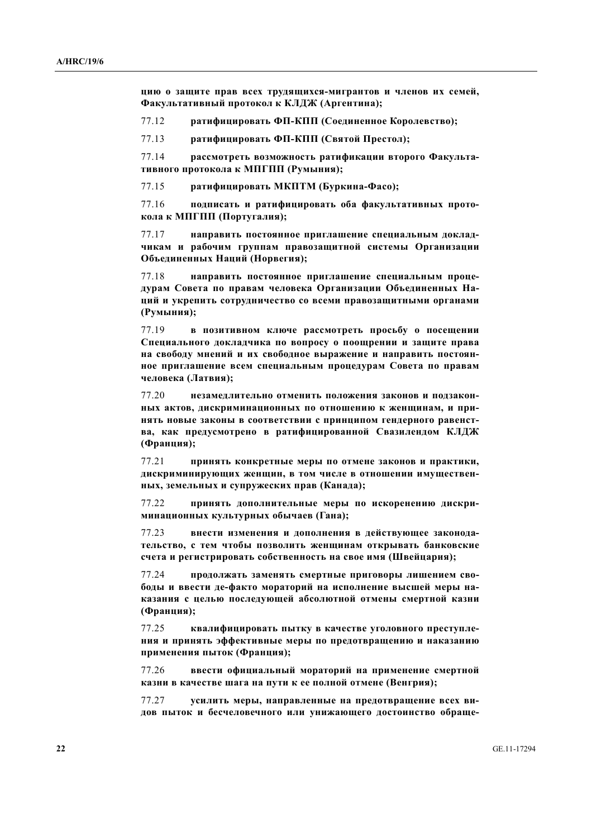**щию** о защите прав всех трудящихся-мигрантов и членов их семей, **Ɏɚɤɭɥɶɬɚɬɢɜɧɵɣ ɩɪɨɬɨɤɨɥ ɤ ɄɅȾɀ (Ⱥɪɝɟɧɬɢɧɚ);** 

77.12 ратифицировать ФП-КПП (Соединенное Королевство);

77.13 **. • ратифицировать ФП-КПП (Святой Престол):** 

77.14 **вассмотреть возможность ратификации второго Факульта**тивного протокола к МПГПП (Румыния);

**77.15 . ратифицировать МКПТМ (Буркина-Фасо);** 

77.16 **полписать и ратифицировать оба факультативных протокола к МПГПП** (Португалия);

77.17 **направить постоянное приглашение специальным доклад**чикам и рабочим группам правозащитной системы Организации Объединенных Наций (Норвегия);

77.18 **иаправить постоянное приглашение специальным проце**дурам Совета по правам человека Организации Объединенных На-**ЩИЙ И УКРЕПИТЬ СОТРУДНИЧЕСТВО СО ВСЕМИ ПРАВОЗАЩИТНЫМИ ОРГАНАМИ** (Румыния);

77.19 **в позитивном ключе рассмотреть просьбу о посещении** Специального докладчика по вопросу о поощрении и защите права **НА СВОбОДУ МНЕНИЙ И ИХ СВОбОДНОЕ ВЫРАЖЕНИЕ И НАПРАВИТЬ ПОСТОЯНное приглашение всем специальным процедурам Совета по правам** человека (Латвия);

77.20 незамедлительно отменить положения законов и подзакон-**НЫХ АКТОВ, ДИСКРИМИНАЦИОННЫХ ПО ОТНОШЕНИЮ К ЖЕНЩИНАМ, И ПРИ-**НЯТЬ НОВЫЕ ЗАКОНЫ В СООТВЕТСТВИИ С ПРИНЦИПОМ ГЕНДЕРНОГО РАВЕНСТ**ва, как предусмотрено в ратифицированной Свазилендом КЛДЖ** (Франция);

77.21 **принять конкретные меры по отмене законов и практики.** ДИСКРИМИНИРУЮЩИХ ЖЕНЩИН, В ТОМ ЧИСЛЕ В ОТНОШЕНИИ ИМУЩЕСТВЕН**ных**, земельных и супружеских прав (Канада);

77.22 **принять дополнительные меры по искоренению дискриɦɢɧɚɰɢɨɧɧɵɯ ɤɭɥɶɬɭɪɧɵɯ ɨɛɵɱɚɟɜ (Ƚɚɧɚ);** 

77.23 внести изменения и дополнения в действующее законода-ТЕЛЬСТВО, С ТЕМ ЧТОбЫ ПОЗВОЛИТЬ ЖЕНЩИНАМ ОТКРЫВАТЬ бАНКОВСКИЕ счета и регистрировать собственность на свое имя (Швейцария);

77.24 продолжать заменять смертные приговоры лишением сво**боды и ввести де-факто мораторий на исполнение высшей меры на**казания с целью последующей абсолютной отмены смертной казни (Франция);

77.25 квалифицировать пытку в качестве уголовного преступле**ния и принять эффективные меры по предотвращению и наказанию** применения пыток (Франция);

77.26 ввести официальный мораторий на применение смертной **казни в качестве шага на пути к ее полной отмене (Венгрия);** 

77.27 **ycuлить меры, направленные на предотвращение всех ви**дов пыток и бесчеловечного или унижающего достоинство обраще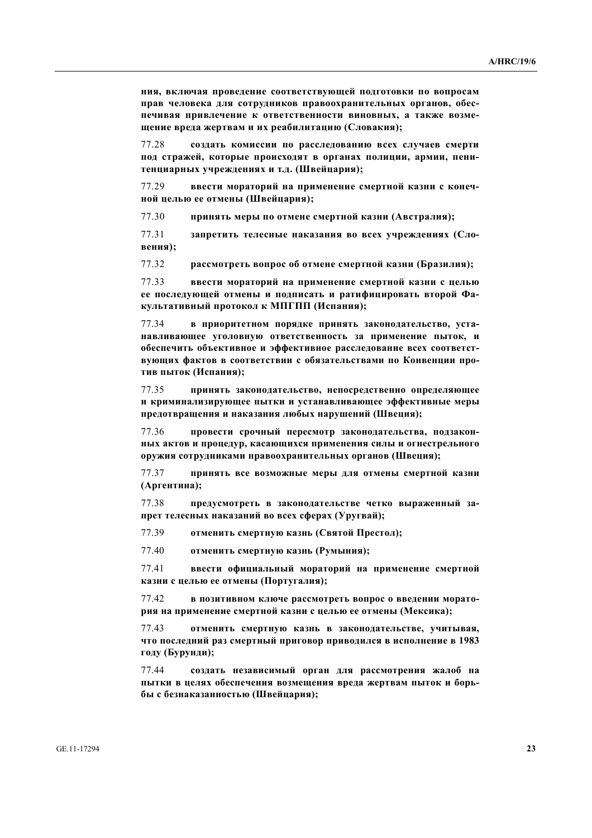**НИЯ, ВКЛЮЧАЯ ПРОВЕДЕНИЕ СООТВЕТСТВУЮЩЕЙ ПОДГОТОВКИ ПО ВОПРОСАМ** прав человека для сотрудников правоохранительных органов, обеспечивая привлечение к ответственности виновных, а также возме**шение вреда жертвам и их реабилитацию (Словакия);** 

77.28 **•• создать комиссии по расследованию всех случаев смерти** под стражей, которые происходят в органах полиции, армии, пенитенциарных учреждениях и т.д. (Швейцария);

77.29 ввести мораторий на применение смертной казни с конеч**ной целью ее отмены (Швейцария);** 

77.30 принять меры по отмене смертной казни (Австралия);

77.31 **3апретить телесные наказания во всех учреждениях (Словения**);

77.32 рассмотреть вопрос об отмене смертной казни (Бразилия);

77.33 ввести мораторий на применение смертной казни с целью ее последующей отмены и подписать и ратифицировать второй Фа**культативный протокол к МПГПП (Испания);** 

77.34 **в приоритетном порялке принять законолательство, уста-**НАВЛИВАЮЩЕЕ УГОЛОВНУЮ ОТВЕТСТВЕННОСТЬ ЗА ПРИМЕНЕНИЕ ПЫТОК, И **ибеспечить объективное и эффективное расследование всех соответствующих фактов в соответствии с обязательствами по Конвенции про**тив пыток (Испания);

77.35 принять законодательство, непосредственно определяющее **и криминализирующее пытки и устанавливающее эффективные меры** предотвращения и наказания любых нарушений (Швеция);

77.36 **провести срочный пересмотр законодательства, подзакон-НЫХ АКТОВ И ПРОЦЕДУР, КАСАЮЩИХСЯ ПРИМЕНЕНИЯ СИЛЫ И ОГНЕСТРЕЛЬНОГО**  $\Phi$   $\Phi$   $\Phi$   $\Phi$   $\Phi$   $\Phi$   $\Phi$   $\Phi$   $\Phi$   $\Phi$   $\Phi$   $\Phi$   $\Phi$   $\Phi$  $\Phi$   $\Phi$  $\Phi$   $\Phi$  $\Phi$  **<b>** $\Phi$  $\Phi$   $\Phi$  $\Phi$   $\Phi$  $\Phi$  *<i>* $\Phi$  $\Phi$   $\Phi$   $\Phi$  $\Phi$  $\Phi$  $\Phi$  $\Phi$ 

77.37 принять все возможные меры для отмены смертной казни (Аргентина);

77.38 **предусмотреть в законолательстве четко выраженный за**прет телесных наказаний во всех сферах (Уругвай);

77.39 отменить смертную казнь (Святой Престол);

77.40 **ɨɬɦɟɧɢɬɶ ɫɦɟɪɬɧɭɸ ɤɚɡɧɶ (Ɋɭɦɵɧɢɹ);** 

77.41 ввести официальный мораторий на применение смертной казни с целью ее отмены (Португалия);

77.42 в позитивном ключе рассмотреть вопрос о введении моратория на применение смертной казни с целью ее отмены (Мексика);

77.43 отменить смертную казнь в законодательстве, учитывая, **что последний раз смертный приговор приводился в исполнение в 1983** году (Бурунди);

77.44 **•• создать независимый орган для рассмотрения жалоб на** пытки в целях обеспечения возмещения вреда жертвам пыток и борь- $6$ ы с безнаказанностью (Швейцария);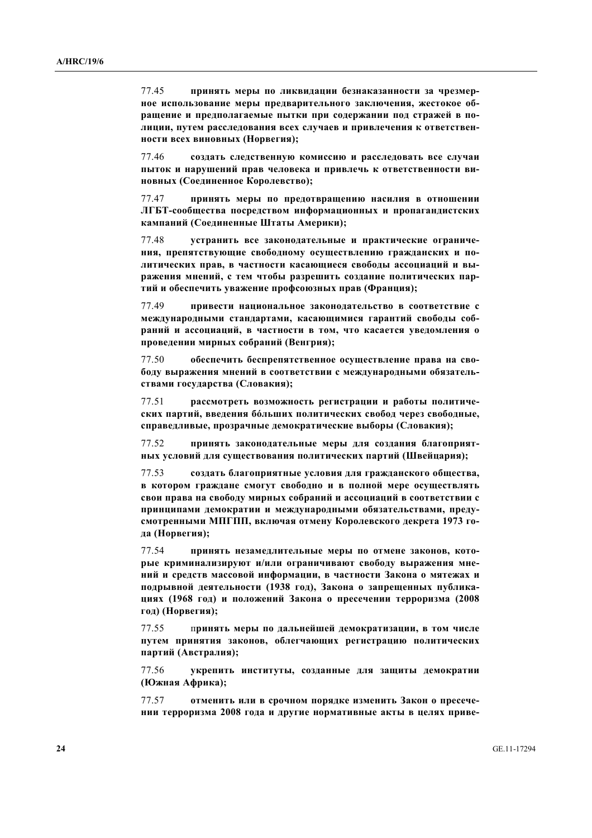77.45 принять меры по ликвидации безнаказанности за чрезмерное использование меры предварительного заключения, жестокое обращение и предполагаемые пытки при содержании под стражей в по-ЛИЦИИ, ПУТЕМ расследования всех случаев и привлечения к ответствен-**НОСТИ ВСЕХ ВИНОВНЫХ (НОРВЕГИЯ);** 

77.46 **•• создать следственную комиссию и расследовать все случаи** пыток и нарушений прав человека и привлечь к ответственности ви-**НОВНЫХ** (Соединенное Королевство);

77.47 **ПРИНЯТЬ МЕРЫ ПО ПРЕЛОТВРАШЕНИЮ НАСИЛИЯ В ОТНОШЕНИИ** ЛГБТ-сообщества посредством информационных и пропагандистских кампаний (Соединенные Штаты Америки);

 77.48 **ɭɫɬɪɚɧɢɬɶ ɜɫɟ ɡɚɤɨɧɨɞɚɬɟɥɶɧɵɟ ɢ ɩɪɚɤɬɢɱɟɫɤɢɟ ɨɝɪɚɧɢɱɟ**ния, препятствующие свободному осуществлению гражданских и политических прав, в частности касающиеся свободы ассоциаций и выражения мнений, с тем чтобы разрешить создание политических партий и обеспечить уважение профсоюзных прав (Франция);

77.49 **привести национальное законодательство в соответствие с** Международными стандартами, касающимися гарантий свободы собраний и ассоциаций, в частности в том, что касается уведомления о проведении мирных собраний (Венгрия);

77.50 ••• обеспечить беспрепятственное осуществление права на свободу выражения мнений в соответствии с международными обязатель**ствами государства (Словакия);** 

77.51 рассмотреть возможность регистрации и работы политических партий, введения бо́льших политических свобод через свободные, справедливые, прозрачные демократические выборы (Словакия);

77.52 **принять законодательные меры для создания благоприят-НЫХ УСЛОВИЙ ДЛЯ СУЩЕСТВОВАНИЯ ПОЛИТИЧЕСКИХ ПАРТИЙ (ШВЕЙЦАРИЯ);** 

77.53 создать благоприятные условия для гражданского общества, **в котором граждане смогут свободно и в полной мере осуществлять** свои права на свободу мирных собраний и ассоциаций в соответствии с принципами демократии и международными обязательствами, предусмотренными МПГПП, включая отмену Королевского декрета 1973 го**да** (Норвегия);

77.54 принять незамедлительные меры по отмене законов, которые криминализируют и/или ограничивают свободу выражения мне**ний и средств массовой информации, в частности Закона о мятежах и** подрывной деятельности (1938 год), Закона о запрещенных публика**ɰɢɹɯ (1968 ɝɨɞ) ɢ ɩɨɥɨɠɟɧɢɣ Ɂɚɤɨɧɚ ɨ ɩɪɟɫɟɱɟɧɢɢ ɬɟɪɪɨɪɢɡɦɚ (2008 ГОД)** (Норвегия);

77.55 принять меры по дальнейшей демократизации, в том числе путем принятия законов, облегчающих регистрацию политических  $\bf{\textcolor{red}{\mathbf{H}}}\mathbf{a}\mathbf{p}\mathbf{T}\mathbf{H}\mathbf{H}$  (Австралия);

77.56 **•• УКРЕПИТЬ ИНСТИТУТЫ, СОЗДАННЫЕ ДЛЯ ЗАЩИТЫ ДЕМОКРАТИИ (Южная Африка);** 

77.57 отменить или в срочном порядке изменить Закон о пресече-**НИИ ТЕРРООРИЗМА 2008 ГОДА И ДРУГИЕ НОРМАТИВНЫЕ АКТЫ В ЦЕЛЯХ ПРИВЕ-**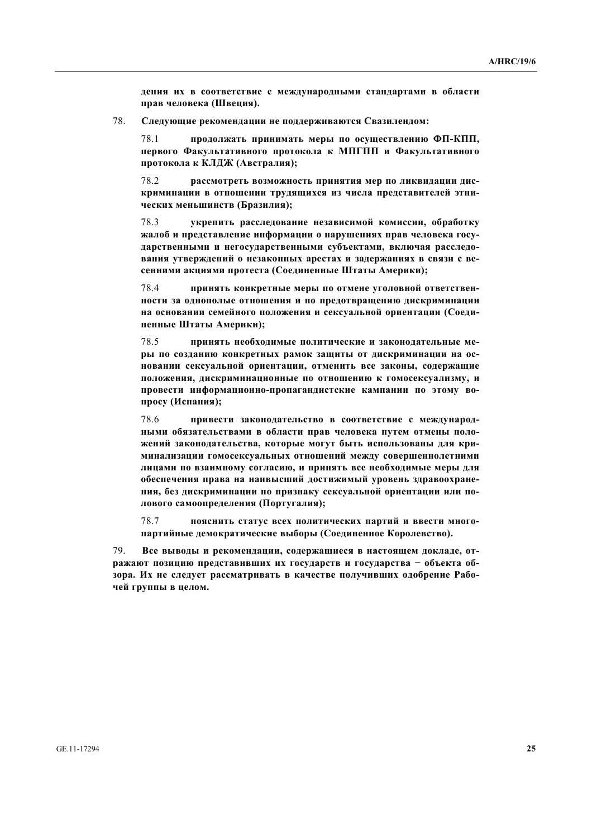дения их в соответствие с международными стандартами в области прав человека (Швеция).

78. Следующие рекомендации не поддерживаются Свазилендом:

78.1 **продолжать принимать меры по осуществлению ФП-КПП,** Первого Факультативного протокола к МПГПП и Факультативного протокола к КЛДЖ (Австралия);

78.2 **вассмотреть возможность принятия мер по ликвидации дискриминации в отношении трудящихся из числа представителей этни**ческих меньшинств (Бразилия);

78.3 • УКРЕПИТЬ РАССЛЕДОВАНИЕ НЕЗАВИСИМОЙ КОМИССИИ, Обработку Жалоб и представление информации о нарушениях прав человека государственными и негосударственными субъектами, включая расследо**вания утверждений о незаконных арестах и задержаниях в связи с ве**сенними акциями протеста (Соединенные Штаты Америки);

78.4 **принять конкретные меры по отмене уголовной ответствен-НОСТИ ЗА ОДНОПОЛЬЈЕ ОТНОШЕНИЯ И ПО ПРЕДОТВРАЩЕНИЮ ДИСКРИМИНАЦИИ** На основании семейного положения и сексуальной ориентации (Соеди**ненные Штаты Америки);** 

78.5 принять необходимые политические и законодательные меры по созданию конкретных рамок защиты от дискриминации на ос-**НОВАНИИ СЕКСУАЛЬНОЙ ОРИЕНТАЦИИ, ОТМЕНИТЬ ВСЕ ЗАКОНЫ, СОДЕРЖАЩИЕ** положения, дискриминационные по отношению к гомосексуализму, и провести информационно-пропагандистские кампании по этому вопросу (Испания);

78.6 **привести законодательство в соответствие с международ-НЫМИ Обязательствами в области прав человека путем отмены поло-**ЖЕНИЙ ЗАКОНОДАТЕЛЬСТВА, КОТОРЫЕ МОГУТ бЫТЬ ИСПОЛЬЗОВАНЫ ДЛЯ КРИ-МИНАЛИЗАЦИИ ГОМОСЕКСУАЛЬНЫХ ОТНОШЕНИЙ МЕЖДУ СОВЕРШЕННОЛЕТНИМИ лицами по взаимному согласию, и принять все необходимые меры для **• беспечения права на наивысший достижимый уровень здравоохранения, без дискриминации по признаку сексуальной ориентации или по**лового самоопределения (Португалия);

78.7 **пояснить статус всех политических партий и ввести много**партийные демократические выборы (Соединенное Королевство).

79. Все выводы и рекомендации, содержащиеся в настоящем докладе, отражают позицию представивших их государств и государства - объекта об**зора.** Их не следует рассматривать в качестве получивших одобрение Рабо**чей группы в целом.**